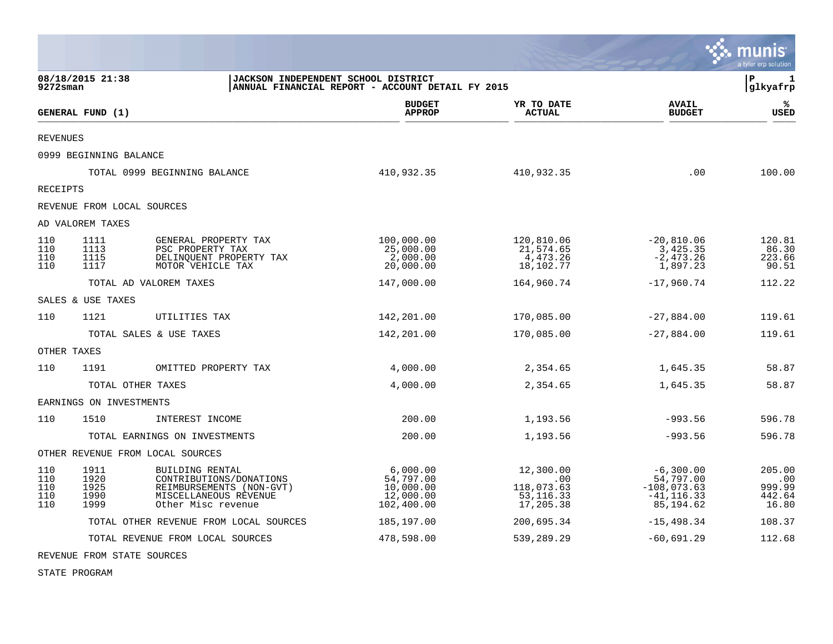|                                 |                                      |                                                                                                                       |                                                               |                                                            |                                                                         | munis<br>a tyler erp solution              |
|---------------------------------|--------------------------------------|-----------------------------------------------------------------------------------------------------------------------|---------------------------------------------------------------|------------------------------------------------------------|-------------------------------------------------------------------------|--------------------------------------------|
| 9272sman                        | 08/18/2015 21:38                     | JACKSON INDEPENDENT SCHOOL DISTRICT                                                                                   | ANNUAL FINANCIAL REPORT - ACCOUNT DETAIL FY 2015              |                                                            |                                                                         | $\mathbf{P}$<br>1<br>glkyafrp              |
|                                 | GENERAL FUND (1)                     |                                                                                                                       | <b>BUDGET</b><br><b>APPROP</b>                                | YR TO DATE<br><b>ACTUAL</b>                                | <b>AVAIL</b><br><b>BUDGET</b>                                           | ℁<br><b>USED</b>                           |
| <b>REVENUES</b>                 |                                      |                                                                                                                       |                                                               |                                                            |                                                                         |                                            |
|                                 | 0999 BEGINNING BALANCE               |                                                                                                                       |                                                               |                                                            |                                                                         |                                            |
|                                 | TOTAL 0999 BEGINNING BALANCE         |                                                                                                                       | 410,932.35                                                    | 410,932.35                                                 | .00                                                                     | 100.00                                     |
| RECEIPTS                        |                                      |                                                                                                                       |                                                               |                                                            |                                                                         |                                            |
|                                 | REVENUE FROM LOCAL SOURCES           |                                                                                                                       |                                                               |                                                            |                                                                         |                                            |
|                                 | AD VALOREM TAXES                     |                                                                                                                       |                                                               |                                                            |                                                                         |                                            |
| 110<br>110<br>110<br>110        | 1111<br>1113<br>1115<br>1117         | GENERAL PROPERTY TAX<br>PSC PROPERTY TAX<br>DELINQUENT PROPERTY TAX<br>MOTOR VEHICLE TAX                              | 100,000.00<br>25,000.00<br>2,000.00<br>20,000.00              | 120,810.06<br>21,574.65<br>4,473.26<br>18,102.77           | $-20,810.06$<br>3,425.35<br>$-2,473.26$<br>1,897.23                     | 120.81<br>86.30<br>223.66<br>90.51         |
|                                 | TOTAL AD VALOREM TAXES               |                                                                                                                       | 147,000.00                                                    | 164,960.74                                                 | $-17,960.74$                                                            | 112.22                                     |
|                                 | SALES & USE TAXES                    |                                                                                                                       |                                                               |                                                            |                                                                         |                                            |
| 110                             | 1121                                 | UTILITIES TAX                                                                                                         | 142,201.00                                                    | 170,085.00                                                 | $-27,884.00$                                                            | 119.61                                     |
|                                 | TOTAL SALES & USE TAXES              |                                                                                                                       | 142,201.00                                                    | 170,085.00                                                 | $-27,884.00$                                                            | 119.61                                     |
| OTHER TAXES                     |                                      |                                                                                                                       |                                                               |                                                            |                                                                         |                                            |
| 110                             | 1191                                 | OMITTED PROPERTY TAX                                                                                                  | 4,000.00                                                      | 2,354.65                                                   | 1,645.35                                                                | 58.87                                      |
|                                 | TOTAL OTHER TAXES                    |                                                                                                                       | 4,000.00                                                      | 2,354.65                                                   | 1,645.35                                                                | 58.87                                      |
|                                 | EARNINGS ON INVESTMENTS              |                                                                                                                       |                                                               |                                                            |                                                                         |                                            |
| 110                             | 1510                                 | INTEREST INCOME                                                                                                       | 200.00                                                        | 1,193.56                                                   | $-993.56$                                                               | 596.78                                     |
|                                 | TOTAL EARNINGS ON INVESTMENTS        |                                                                                                                       | 200.00                                                        | 1,193.56                                                   | $-993.56$                                                               | 596.78                                     |
|                                 | OTHER REVENUE FROM LOCAL SOURCES     |                                                                                                                       |                                                               |                                                            |                                                                         |                                            |
| 110<br>110<br>110<br>110<br>110 | 1911<br>1920<br>1925<br>1990<br>1999 | BUILDING RENTAL<br>CONTRIBUTIONS/DONATIONS<br>REIMBURSEMENTS (NON-GVT)<br>MISCELLANEOUS REVENUE<br>Other Misc revenue | 6,000.00<br>54,797.00<br>10,000.00<br>12,000.00<br>102,400.00 | 12,300.00<br>.00<br>118,073.63<br>53, 116. 33<br>17,205.38 | $-6,300.00$<br>54,797.00<br>$-108,073.63$<br>$-41, 116.33$<br>85,194.62 | 205.00<br>.00<br>999.99<br>442.64<br>16.80 |
|                                 |                                      | TOTAL OTHER REVENUE FROM LOCAL SOURCES                                                                                | 185,197.00                                                    | 200,695.34                                                 | $-15,498.34$                                                            | 108.37                                     |
|                                 |                                      | TOTAL REVENUE FROM LOCAL SOURCES                                                                                      | 478,598.00                                                    | 539,289.29                                                 | $-60,691.29$                                                            | 112.68                                     |

 $\mathcal{L}$ 

REVENUE FROM STATE SOURCES

STATE PROGRAM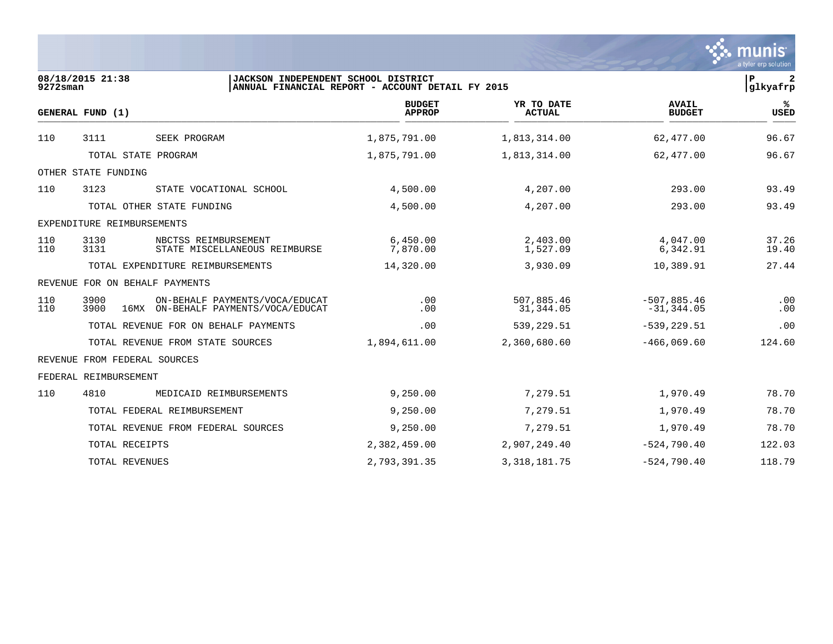|             |                                                                                       |                                                  |                             |                                | munis<br>a tyler erp solution |
|-------------|---------------------------------------------------------------------------------------|--------------------------------------------------|-----------------------------|--------------------------------|-------------------------------|
| $9272$ sman | 08/18/2015 21:38<br>JACKSON INDEPENDENT SCHOOL DISTRICT                               | ANNUAL FINANCIAL REPORT - ACCOUNT DETAIL FY 2015 |                             |                                | lР<br>2<br> glkyafrp          |
|             | GENERAL FUND (1)                                                                      | <b>BUDGET</b><br><b>APPROP</b>                   | YR TO DATE<br><b>ACTUAL</b> | <b>AVAIL</b><br><b>BUDGET</b>  | ℁<br><b>USED</b>              |
| 110         | 3111<br>SEEK PROGRAM                                                                  | 1,875,791.00                                     | 1,813,314.00                | 62,477.00                      | 96.67                         |
|             | TOTAL STATE PROGRAM                                                                   | 1,875,791.00                                     | 1,813,314.00                | 62,477.00                      | 96.67                         |
|             | OTHER STATE FUNDING                                                                   |                                                  |                             |                                |                               |
| 110         | 3123<br>STATE VOCATIONAL SCHOOL                                                       | 4,500.00                                         | 4,207.00                    | 293.00                         | 93.49                         |
|             | TOTAL OTHER STATE FUNDING                                                             | 4,500.00                                         | 4,207.00                    | 293.00                         | 93.49                         |
|             | EXPENDITURE REIMBURSEMENTS                                                            |                                                  |                             |                                |                               |
| 110<br>110  | 3130<br>NBCTSS REIMBURSEMENT<br>3131<br>STATE MISCELLANEOUS REIMBURSE                 | 6,450.00<br>7,870.00                             | 2,403.00<br>1,527.09        | 4,047.00<br>6,342.91           | 37.26<br>19.40                |
|             | TOTAL EXPENDITURE REIMBURSEMENTS                                                      | 14,320.00                                        | 3,930.09                    | 10,389.91                      | 27.44                         |
|             | REVENUE FOR ON BEHALF PAYMENTS                                                        |                                                  |                             |                                |                               |
| 110<br>110  | 3900<br>ON-BEHALF PAYMENTS/VOCA/EDUCAT<br>3900<br>16MX ON-BEHALF PAYMENTS/VOCA/EDUCAT | .00<br>.00                                       | 507,885.46<br>31,344.05     | $-507,885.46$<br>$-31, 344.05$ | .00<br>.00                    |
|             | TOTAL REVENUE FOR ON BEHALF PAYMENTS                                                  | .00                                              | 539,229.51                  | $-539, 229.51$                 | .00                           |
|             | TOTAL REVENUE FROM STATE SOURCES                                                      | 1,894,611.00                                     | 2,360,680.60                | $-466,069.60$                  | 124.60                        |
|             | REVENUE FROM FEDERAL SOURCES                                                          |                                                  |                             |                                |                               |
|             | FEDERAL REIMBURSEMENT                                                                 |                                                  |                             |                                |                               |
| 110         | 4810<br>MEDICAID REIMBURSEMENTS                                                       | 9,250.00                                         | 7,279.51                    | 1,970.49                       | 78.70                         |
|             | TOTAL FEDERAL REIMBURSEMENT                                                           | 9,250.00                                         | 7,279.51                    | 1,970.49                       | 78.70                         |
|             | TOTAL REVENUE FROM FEDERAL SOURCES                                                    | 9,250.00                                         | 7,279.51                    | 1,970.49                       | 78.70                         |
|             | TOTAL RECEIPTS                                                                        | 2,382,459.00                                     | 2,907,249.40                | $-524,790.40$                  | 122.03                        |
|             | TOTAL REVENUES                                                                        | 2,793,391.35                                     | 3, 318, 181. 75             | $-524,790.40$                  | 118.79                        |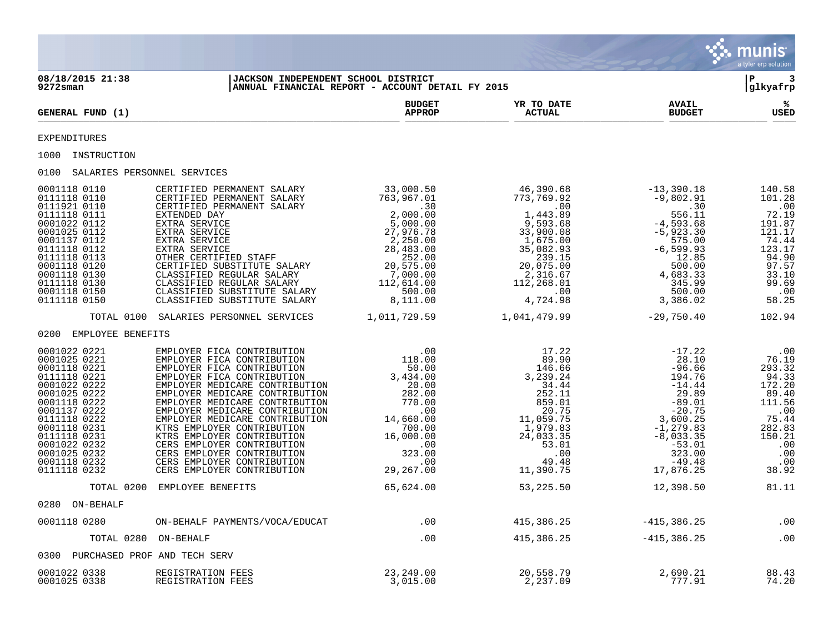|                                   |                                                                                                                                                                                                                                                                                                                                                                       |                                                  |                                   |                               | $\mathbf{S}$ munis<br>a tyler erp solution |
|-----------------------------------|-----------------------------------------------------------------------------------------------------------------------------------------------------------------------------------------------------------------------------------------------------------------------------------------------------------------------------------------------------------------------|--------------------------------------------------|-----------------------------------|-------------------------------|--------------------------------------------|
| 08/18/2015 21:38<br>9272sman      | JACKSON INDEPENDENT SCHOOL DISTRICT                                                                                                                                                                                                                                                                                                                                   | ANNUAL FINANCIAL REPORT - ACCOUNT DETAIL FY 2015 |                                   |                               | $ P $ 3<br>glkyafrp                        |
| GENERAL FUND (1)                  |                                                                                                                                                                                                                                                                                                                                                                       | <b>BUDGET</b><br><b>APPROP</b>                   | YR TO DATE<br><b>ACTUAL</b>       | <b>AVAIL</b><br><b>BUDGET</b> | ౣ<br>USED                                  |
| <b>EXPENDITURES</b>               |                                                                                                                                                                                                                                                                                                                                                                       |                                                  |                                   |                               |                                            |
| 1000 INSTRUCTION                  |                                                                                                                                                                                                                                                                                                                                                                       |                                                  |                                   |                               |                                            |
| 0100 SALARIES PERSONNEL SERVICES  |                                                                                                                                                                                                                                                                                                                                                                       |                                                  |                                   |                               |                                            |
|                                   | $\begin{tabular}{@{}c@{}}\hline\texttt{001118 0110}&\texttt{CERTIFIED PERMANENT SALARY} & \texttt{33,000.50}& \texttt{46,390.68}& -13,390.18 & 140.58 \\ \hline 0111118 0110 & \texttt{CERTIFIED PERMANENT SALARY} & \texttt{763,967.01}& \texttt{773,769.92}& -9,802.91 & 101.28 \\ \hline\texttt{011118 0111} & \texttt{CERTIFID PERMANENT SALARY} & \texttt{763,9$ |                                                  |                                   |                               |                                            |
|                                   | TOTAL 0100 SALARIES PERSONNEL SERVICES 1,011,729.59 1,041,479.99 -29,750.40 102.94                                                                                                                                                                                                                                                                                    |                                                  |                                   |                               |                                            |
| 0200 EMPLOYEE BENEFITS            |                                                                                                                                                                                                                                                                                                                                                                       |                                                  |                                   |                               |                                            |
|                                   |                                                                                                                                                                                                                                                                                                                                                                       |                                                  |                                   |                               |                                            |
|                                   | TOTAL 0200 EMPLOYEE BENEFITS                                                                                                                                                                                                                                                                                                                                          | 65,624.00                                        | 53, 225.50                        | 12,398.50                     | 81.11                                      |
| 0280 ON-BEHALF                    |                                                                                                                                                                                                                                                                                                                                                                       |                                                  |                                   |                               |                                            |
| 0001118 0280                      | ON-BEHALF PAYMENTS/VOCA/EDUCAT                                                                                                                                                                                                                                                                                                                                        | .00                                              |                                   | 415, 386. 25 -415, 386. 25    | $\,.\,00$                                  |
| TOTAL 0280 ON-BEHALF              |                                                                                                                                                                                                                                                                                                                                                                       | .00                                              | $415,386.25$ $-415,386.25$        |                               | $\sim 00$                                  |
| 0300 PURCHASED PROF AND TECH SERV |                                                                                                                                                                                                                                                                                                                                                                       |                                                  |                                   |                               |                                            |
| 0001022 0338<br>0001025 0338      | REGISTRATION FEES<br>REGISTRATION FEES                                                                                                                                                                                                                                                                                                                                | 23,249.00<br>3,015.00                            | 20,558.79<br>2,237.09<br>2,237.09 | 2,690.21<br>777.91            | 88.43<br>74.20                             |

the contract of the contract of the contract of the contract of the contract of the contract of the contract of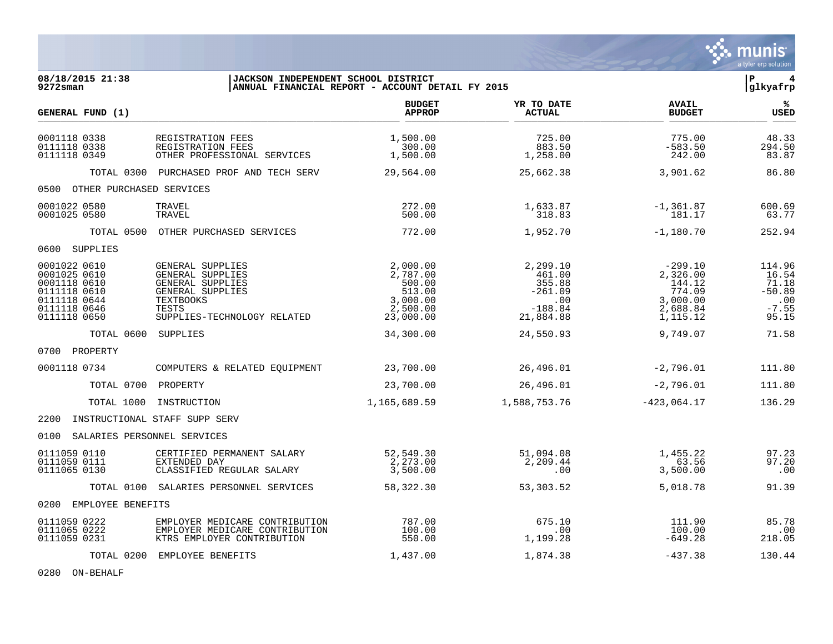|                                                                                                              |                                                                                                                                          |                                                                               |                                                                            |                                                                             | munis<br>a tyler erp solution                                   |
|--------------------------------------------------------------------------------------------------------------|------------------------------------------------------------------------------------------------------------------------------------------|-------------------------------------------------------------------------------|----------------------------------------------------------------------------|-----------------------------------------------------------------------------|-----------------------------------------------------------------|
| 08/18/2015 21:38<br>9272sman                                                                                 | <b>JACKSON INDEPENDENT SCHOOL DISTRICT</b>                                                                                               | ANNUAL FINANCIAL REPORT - ACCOUNT DETAIL FY 2015                              |                                                                            |                                                                             | l P<br>4<br> glkyafrp                                           |
| GENERAL FUND (1)                                                                                             |                                                                                                                                          | <b>BUDGET</b><br><b>APPROP</b>                                                | YR TO DATE<br><b>ACTUAL</b>                                                | <b>AVAIL</b><br><b>BUDGET</b>                                               | %ะ<br>USED                                                      |
| 0001118 0338<br>0111118 0338<br>0111118 0349                                                                 | REGISTRATION FEES<br>REGISTRATION FEES<br>OTHER PROFESSIONAL SERVICES                                                                    | 1,500.00<br>300.00<br>1,500.00                                                | 725.00<br>883.50<br>1,258.00                                               | 775.00<br>$-583.50$<br>242.00                                               | 48.33<br>294.50<br>83.87                                        |
|                                                                                                              | TOTAL 0300 PURCHASED PROF AND TECH SERV                                                                                                  | 29,564.00                                                                     | 25,662.38                                                                  | 3,901.62                                                                    | 86.80                                                           |
| 0500 OTHER PURCHASED SERVICES                                                                                |                                                                                                                                          |                                                                               |                                                                            |                                                                             |                                                                 |
| 0001022 0580<br>0001025 0580                                                                                 | TRAVEL<br>TRAVEL                                                                                                                         | 272.00<br>500.00                                                              | 1,633.87<br>318.83                                                         | $-1,361.87$<br>181.17                                                       | 600.69<br>63.77                                                 |
|                                                                                                              | TOTAL 0500 OTHER PURCHASED SERVICES                                                                                                      | 772.00                                                                        | 1,952.70                                                                   | $-1,180.70$                                                                 | 252.94                                                          |
| 0600 SUPPLIES                                                                                                |                                                                                                                                          |                                                                               |                                                                            |                                                                             |                                                                 |
| 0001022 0610<br>0001025 0610<br>0001118 0610<br>0111118 0610<br>0111118 0644<br>0111118 0646<br>0111118 0650 | GENERAL SUPPLIES<br>GENERAL SUPPLIES<br>GENERAL SUPPLIES<br>GENERAL SUPPLIES<br><b>TEXTBOOKS</b><br>TESTS<br>SUPPLIES-TECHNOLOGY RELATED | 2,000.00<br>2,787.00<br>500.00<br>513.00<br>3,000.00<br>2,500.00<br>23,000.00 | 2,299.10<br>461.00<br>355.88<br>$-261.09$<br>.00<br>$-188.84$<br>21,884.88 | -299.10<br>2,326.00<br>144.12<br>774.09<br>3,000.00<br>2,688.84<br>1,115.12 | 114.96<br>16.54<br>71.18<br>$-50.89$<br>.00<br>$-7.55$<br>95.15 |
| TOTAL 0600 SUPPLIES                                                                                          |                                                                                                                                          | 34,300.00                                                                     | 24,550.93                                                                  | 9,749.07                                                                    | 71.58                                                           |
| 0700 PROPERTY                                                                                                |                                                                                                                                          |                                                                               |                                                                            |                                                                             |                                                                 |
| 0001118 0734                                                                                                 | COMPUTERS & RELATED EQUIPMENT                                                                                                            | 23,700.00                                                                     | 26,496.01                                                                  | $-2,796.01$                                                                 | 111.80                                                          |
| TOTAL 0700 PROPERTY                                                                                          |                                                                                                                                          | 23,700.00                                                                     | 26,496.01                                                                  | $-2,796.01$                                                                 | 111.80                                                          |
| TOTAL 1000                                                                                                   | INSTRUCTION                                                                                                                              | 1,165,689.59                                                                  | 1,588,753.76                                                               | $-423,064.17$                                                               | 136.29                                                          |
| 2200 INSTRUCTIONAL STAFF SUPP SERV                                                                           |                                                                                                                                          |                                                                               |                                                                            |                                                                             |                                                                 |
| 0100<br>SALARIES PERSONNEL SERVICES                                                                          |                                                                                                                                          |                                                                               |                                                                            |                                                                             |                                                                 |
| 0111059 0110<br>0111059 0111<br>0111065 0130                                                                 | CERTIFIED PERMANENT SALARY<br>EXTENDED DAY<br>CLASSIFIED REGULAR SALARY                                                                  | 52,549.30<br>2,273.00<br>3,500.00                                             | 51,094.08<br>2,209.44<br>.00                                               | 1,455.22<br>63.56<br>3,500.00                                               | 97.23<br>97.20<br>.00                                           |
|                                                                                                              | TOTAL 0100 SALARIES PERSONNEL SERVICES                                                                                                   | 58,322.30                                                                     | 53,303.52                                                                  | 5,018.78                                                                    | 91.39                                                           |
| 0200 EMPLOYEE BENEFITS                                                                                       |                                                                                                                                          |                                                                               |                                                                            |                                                                             |                                                                 |
| 0111059 0222<br>0111065 0222<br>0111059 0231                                                                 | EMPLOYER MEDICARE CONTRIBUTION<br>EMPLOYER MEDICARE CONTRIBUTION<br>KTRS EMPLOYER CONTRIBUTION                                           | 787.00<br>100.00<br>550.00                                                    | 675.10<br>.00<br>1,199.28                                                  | 111.90<br>100.00<br>$-649.28$                                               | 85.78<br>.00<br>218.05                                          |
|                                                                                                              | TOTAL 0200 EMPLOYEE BENEFITS                                                                                                             | 1,437.00                                                                      | 1,874.38                                                                   | $-437.38$                                                                   | 130.44                                                          |

0280 ON-BEHALF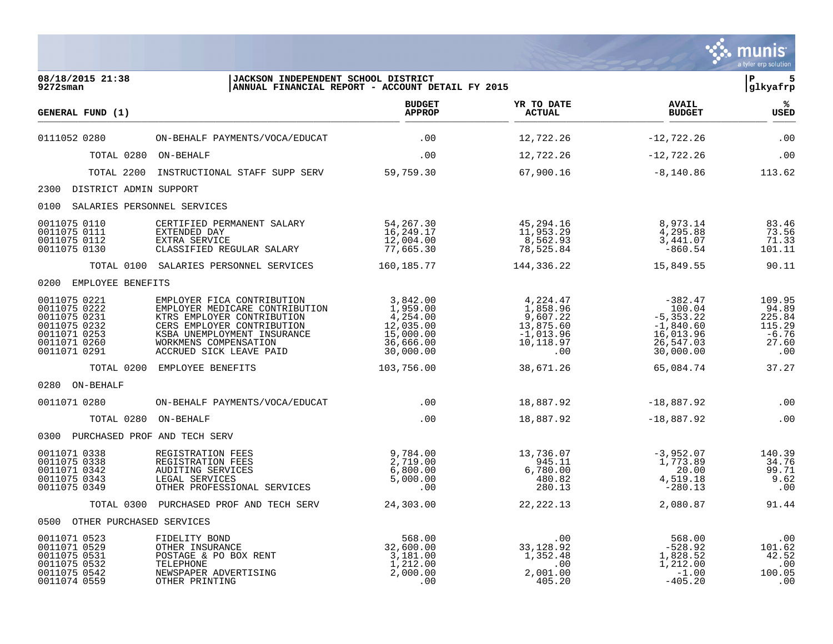|                                                                                                              |                                                                                                                                                                                                             |                                                                                      |                                                                                  |                                                                                         | munis<br>a tyler erp solution                                  |
|--------------------------------------------------------------------------------------------------------------|-------------------------------------------------------------------------------------------------------------------------------------------------------------------------------------------------------------|--------------------------------------------------------------------------------------|----------------------------------------------------------------------------------|-----------------------------------------------------------------------------------------|----------------------------------------------------------------|
| 08/18/2015 21:38<br>$9272$ sman                                                                              | JACKSON INDEPENDENT SCHOOL DISTRICT                                                                                                                                                                         | ANNUAL FINANCIAL REPORT - ACCOUNT DETAIL FY 2015                                     |                                                                                  |                                                                                         | ∣P<br>5<br> glkyafrp                                           |
| GENERAL FUND (1)                                                                                             |                                                                                                                                                                                                             | <b>BUDGET</b><br><b>APPROP</b>                                                       | YR TO DATE<br>ACTUAL                                                             | <b>AVAIL</b><br><b>BUDGET</b>                                                           | %ะ<br><b>USED</b>                                              |
| 0111052 0280                                                                                                 | ON-BEHALF PAYMENTS/VOCA/EDUCAT                                                                                                                                                                              | .00                                                                                  | 12,722.26                                                                        | $-12,722.26$                                                                            | .00                                                            |
|                                                                                                              | TOTAL 0280 ON-BEHALF                                                                                                                                                                                        | .00                                                                                  | 12,722.26                                                                        | $-12,722.26$                                                                            | .00                                                            |
| TOTAL 2200                                                                                                   | INSTRUCTIONAL STAFF SUPP SERV                                                                                                                                                                               | 59,759.30                                                                            | 67,900.16                                                                        | $-8,140.86$                                                                             | 113.62                                                         |
| 2300 DISTRICT ADMIN SUPPORT                                                                                  |                                                                                                                                                                                                             |                                                                                      |                                                                                  |                                                                                         |                                                                |
| 0100<br>SALARIES PERSONNEL SERVICES                                                                          |                                                                                                                                                                                                             |                                                                                      |                                                                                  |                                                                                         |                                                                |
| 0011075 0110<br>0011075 0111<br>0011075 0112<br>0011075 0130                                                 | CERTIFIED PERMANENT SALARY<br>EXTENDED DAY<br>EXTRA SERVICE<br>CLASSIFIED REGULAR SALARY                                                                                                                    | 54,267.30<br>16,249.17<br>12,004.00<br>77,665.30                                     | 45,294.16<br>11,953.29<br>8,562.93<br>78,525.84                                  | 8,973.14<br>4,295.88<br>3,441.07<br>$-860.54$                                           | 83.46<br>73.56<br>71.33<br>101.11                              |
|                                                                                                              | TOTAL 0100 SALARIES PERSONNEL SERVICES                                                                                                                                                                      | 160,185.77                                                                           | 144,336.22                                                                       | 15,849.55                                                                               | 90.11                                                          |
| 0200 EMPLOYEE BENEFITS                                                                                       |                                                                                                                                                                                                             |                                                                                      |                                                                                  |                                                                                         |                                                                |
| 0011075 0221<br>0011075 0222<br>0011075 0231<br>0011075 0232<br>0011071 0253<br>0011071 0260<br>0011071 0291 | EMPLOYER FICA CONTRIBUTION<br>EMPLOYER MEDICARE CONTRIBUTION<br>KTRS EMPLOYER CONTRIBUTION<br>CERS EMPLOYER CONTRIBUTION<br>KSBA UNEMPLOYMENT INSURANCE<br>WORKMENS COMPENSATION<br>ACCRUED SICK LEAVE PAID | 3,842.00<br>1,959.00<br>4,254.00<br>12,035.00<br>15,000.00<br>36,666.00<br>30,000.00 | 4,224.47<br>1,858.96<br>9,607.22<br>13,875.60<br>$-1,013.96$<br>10,118.97<br>.00 | -382.47<br>100.04<br>$-5, 353.22$<br>$-1,840.60$<br>16,013.96<br>26,547.03<br>30,000.00 | 109.95<br>94.89<br>225.84<br>115.29<br>$-6.76$<br>27.60<br>.00 |
|                                                                                                              | TOTAL 0200 EMPLOYEE BENEFITS                                                                                                                                                                                | 103,756.00                                                                           | 38,671.26                                                                        | 65,084.74                                                                               | 37.27                                                          |
| 0280 ON-BEHALF                                                                                               |                                                                                                                                                                                                             |                                                                                      |                                                                                  |                                                                                         |                                                                |
| 0011071 0280                                                                                                 | ON-BEHALF PAYMENTS/VOCA/EDUCAT                                                                                                                                                                              | $.00 \,$                                                                             | 18,887.92                                                                        | $-18,887.92$                                                                            | .00                                                            |
| TOTAL 0280                                                                                                   | ON-BEHALF                                                                                                                                                                                                   | .00                                                                                  | 18,887.92                                                                        | $-18,887.92$                                                                            | .00                                                            |
| 0300 PURCHASED PROF AND TECH SERV                                                                            |                                                                                                                                                                                                             |                                                                                      |                                                                                  |                                                                                         |                                                                |
| 0011071 0338<br>0011075 0338<br>0011071 0342<br>0011075 0343<br>0011075 0349                                 | REGISTRATION FEES<br>REGISTRATION FEES<br>AUDITING SERVICES<br>LEGAL SERVICES<br>OTHER PROFESSIONAL SERVICES                                                                                                | 9,784.00<br>2,719.00<br>6,800.00<br>5,000.00<br>.00                                  | 13,736.07<br>945.11<br>6,780.00<br>480.82<br>280.13                              | $-3,952.07$<br>1,773.89<br>20.00<br>4,519.18<br>$-280.13$                               | 140.39<br>34.76<br>99.71<br>9.62<br>.00                        |
|                                                                                                              | TOTAL 0300 PURCHASED PROF AND TECH SERV                                                                                                                                                                     | 24,303.00                                                                            | 22, 222.13                                                                       | 2,080.87                                                                                | 91.44                                                          |
| 0500 OTHER PURCHASED SERVICES                                                                                |                                                                                                                                                                                                             |                                                                                      |                                                                                  |                                                                                         |                                                                |
| 0011071 0523<br>0011071 0529<br>0011075 0531<br>0011075 0532<br>0011075 0542<br>0011074 0559                 | FIDELITY BOND<br>OTHER INSURANCE<br>POSTAGE & PO BOX RENT<br>TELEPHONE<br>NEWSPAPER ADVERTISING<br>OTHER PRINTING                                                                                           | 568.00<br>32,600.00<br>3,181.00<br>1,212.00<br>2,000.00<br>.00                       | .00<br>33, 128.92<br>1,352.48<br>.00<br>2,001.00<br>405.20                       | 568.00<br>$-528.92$<br>1,828.52<br>1,212.00<br>$-1.00$<br>$-405.20$                     | .00<br>101.62<br>42.52<br>.00<br>100.05<br>.00                 |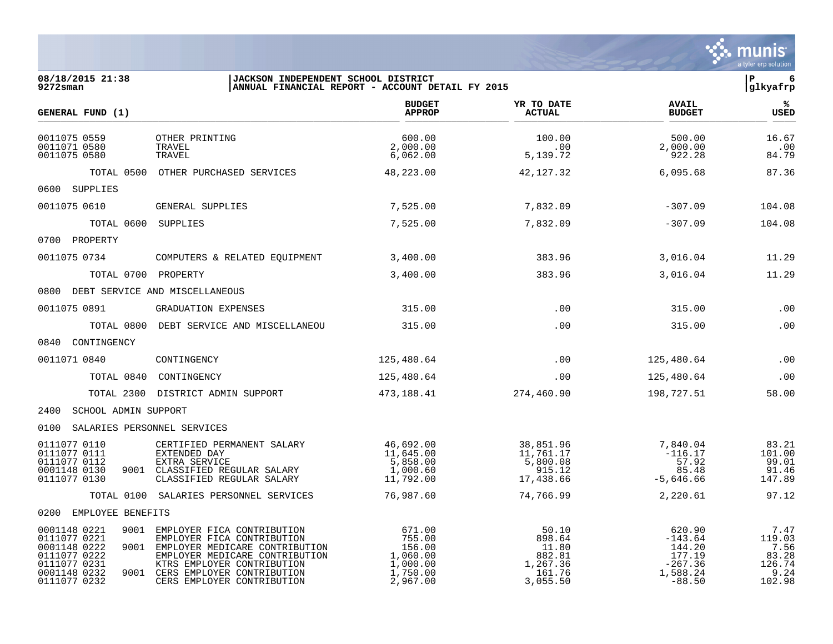|                                                                                                              |                                                                                                                                                                                                                                       |                                                                                           |                                                                      |                                                                              | a tyler erp solution                                        |
|--------------------------------------------------------------------------------------------------------------|---------------------------------------------------------------------------------------------------------------------------------------------------------------------------------------------------------------------------------------|-------------------------------------------------------------------------------------------|----------------------------------------------------------------------|------------------------------------------------------------------------------|-------------------------------------------------------------|
| 08/18/2015 21:38<br>9272sman                                                                                 | JACKSON INDEPENDENT SCHOOL DISTRICT                                                                                                                                                                                                   | ANNUAL FINANCIAL REPORT - ACCOUNT DETAIL FY 2015                                          |                                                                      |                                                                              | IP.<br>-6<br>glkyafrp                                       |
| GENERAL FUND (1)                                                                                             |                                                                                                                                                                                                                                       | <b>BUDGET</b><br><b>APPROP</b>                                                            | YR TO DATE<br><b>ACTUAL</b>                                          | <b>AVAIL</b><br><b>BUDGET</b>                                                | %ะ<br><b>USED</b>                                           |
| 0011075 0559<br>0011071 0580<br>0011075 0580                                                                 | OTHER PRINTING<br>TRAVEL<br>TRAVEL                                                                                                                                                                                                    | 600.00<br>2,000.00<br>6,062.00                                                            | 100.00<br>.00<br>5,139.72                                            | 500.00<br>2,000.00<br>922.28                                                 | 16.67<br>.00<br>84.79                                       |
|                                                                                                              | TOTAL 0500 OTHER PURCHASED SERVICES                                                                                                                                                                                                   | 48,223.00                                                                                 | 42,127.32                                                            | 6,095.68                                                                     | 87.36                                                       |
| 0600 SUPPLIES                                                                                                |                                                                                                                                                                                                                                       |                                                                                           |                                                                      |                                                                              |                                                             |
| 0011075 0610                                                                                                 | GENERAL SUPPLIES                                                                                                                                                                                                                      | 7,525.00                                                                                  | 7,832.09                                                             | $-307.09$                                                                    | 104.08                                                      |
|                                                                                                              | TOTAL 0600 SUPPLIES                                                                                                                                                                                                                   | 7,525.00                                                                                  | 7,832.09                                                             | $-307.09$                                                                    | 104.08                                                      |
| 0700 PROPERTY                                                                                                |                                                                                                                                                                                                                                       |                                                                                           |                                                                      |                                                                              |                                                             |
| 0011075 0734                                                                                                 | COMPUTERS & RELATED EQUIPMENT                                                                                                                                                                                                         | 3,400.00                                                                                  | 383.96                                                               | 3,016.04                                                                     | 11.29                                                       |
|                                                                                                              | TOTAL 0700 PROPERTY                                                                                                                                                                                                                   | 3,400.00                                                                                  | 383.96                                                               | 3,016.04                                                                     | 11.29                                                       |
|                                                                                                              | 0800 DEBT SERVICE AND MISCELLANEOUS                                                                                                                                                                                                   |                                                                                           |                                                                      |                                                                              |                                                             |
| 0011075 0891                                                                                                 | GRADUATION EXPENSES                                                                                                                                                                                                                   | 315.00                                                                                    | .00                                                                  | 315.00                                                                       | .00                                                         |
|                                                                                                              | TOTAL 0800 DEBT SERVICE AND MISCELLANEOU                                                                                                                                                                                              | 315.00                                                                                    | .00                                                                  | 315.00                                                                       | .00                                                         |
| 0840 CONTINGENCY                                                                                             |                                                                                                                                                                                                                                       |                                                                                           |                                                                      |                                                                              |                                                             |
| 0011071 0840                                                                                                 | CONTINGENCY                                                                                                                                                                                                                           | 125,480.64                                                                                | .00                                                                  | 125,480.64                                                                   | .00                                                         |
| TOTAL 0840                                                                                                   | CONTINGENCY                                                                                                                                                                                                                           | 125,480.64                                                                                | .00                                                                  | 125,480.64                                                                   | .00                                                         |
| TOTAL 2300                                                                                                   | DISTRICT ADMIN SUPPORT                                                                                                                                                                                                                | 473,188.41                                                                                | 274,460.90                                                           | 198,727.51                                                                   | 58.00                                                       |
| 2400 SCHOOL ADMIN SUPPORT                                                                                    |                                                                                                                                                                                                                                       |                                                                                           |                                                                      |                                                                              |                                                             |
| 0100 SALARIES PERSONNEL SERVICES                                                                             |                                                                                                                                                                                                                                       |                                                                                           |                                                                      |                                                                              |                                                             |
| 0111077 0110<br>0111077 0111<br>0111077 0112<br>0001148 0130<br>0111077 0130                                 | CERTIFIED PERMANENT SALARY<br>EXTENDED DAY<br><b>EXTRA SERVICE</b><br>9001 CLASSIFIED REGULAR SALARY<br>CLASSIFIED REGULAR SALARY                                                                                                     | 46,692.00<br>11,645.00<br>5,858.00<br>1,000.60<br>11,792.00                               | 38,851.96<br>11,761.17<br>5,800.08<br>915.12<br>17,438.66            | 7,840.04<br>$-116.17$<br>57.92<br>85.48<br>$-5,646.66$                       | 83.21<br>101.00<br>99.01<br>91.46<br>147.89                 |
|                                                                                                              | TOTAL 0100 SALARIES PERSONNEL SERVICES                                                                                                                                                                                                | 76,987.60                                                                                 | 74,766.99                                                            | 2,220.61                                                                     | 97.12                                                       |
| 0200 EMPLOYEE BENEFITS                                                                                       |                                                                                                                                                                                                                                       |                                                                                           |                                                                      |                                                                              |                                                             |
| 0001148 0221<br>0111077 0221<br>0001148 0222<br>0111077 0222<br>0111077 0231<br>0001148 0232<br>0111077 0232 | 9001 EMPLOYER FICA CONTRIBUTION<br>EMPLOYER FICA CONTRIBUTION<br>9001 EMPLOYER MEDICARE CONTRIBUTION<br>EMPLOYER MEDICARE CONTRIBUTION<br>KTRS EMPLOYER CONTRIBUTION<br>9001 CERS EMPLOYER CONTRIBUTION<br>CERS EMPLOYER CONTRIBUTION | 671.00<br>755.00<br>156.00<br>1,060.00<br>1,000.00<br>$\overline{1}$ , 750.00<br>2,967.00 | 50.10<br>898.64<br>11.80<br>882.81<br>1,267.36<br>161.76<br>3,055.50 | 620.90<br>$-143.64$<br>144.20<br>177.19<br>$-267.36$<br>1,588.24<br>$-88.50$ | 7.47<br>119.03<br>7.56<br>83.28<br>126.74<br>9.24<br>102.98 |

 $\ddot{\mathbf{w}}$  munis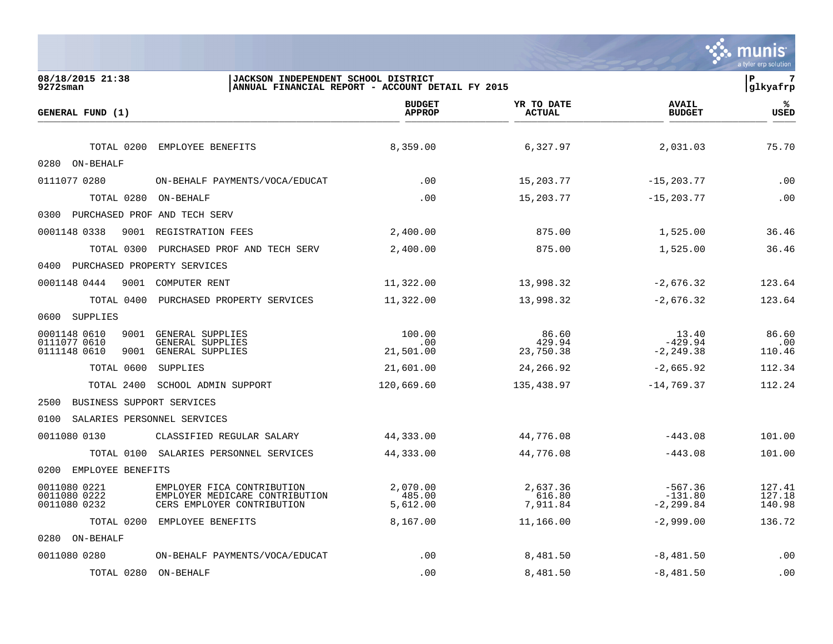|                                                                                                                                            |                                                  |                                |                                        | munis<br>a tyler erp solution |
|--------------------------------------------------------------------------------------------------------------------------------------------|--------------------------------------------------|--------------------------------|----------------------------------------|-------------------------------|
| 08/18/2015 21:38<br>JACKSON INDEPENDENT SCHOOL DISTRICT<br>$9272$ sman                                                                     | ANNUAL FINANCIAL REPORT - ACCOUNT DETAIL FY 2015 |                                |                                        | ΙP<br>7<br>glkyafrp           |
| GENERAL FUND (1)                                                                                                                           | <b>BUDGET</b><br><b>APPROP</b>                   | YR TO DATE<br><b>ACTUAL</b>    | <b>AVAIL</b><br><b>BUDGET</b>          | ℁<br>USED                     |
| TOTAL 0200<br>EMPLOYEE BENEFITS                                                                                                            | 8,359.00                                         | 6,327.97                       | 2,031.03                               | 75.70                         |
| 0280 ON-BEHALF                                                                                                                             |                                                  |                                |                                        |                               |
| 0111077 0280<br>ON-BEHALF PAYMENTS/VOCA/EDUCAT                                                                                             | .00                                              | 15,203.77                      | $-15, 203.77$                          | .00                           |
| TOTAL 0280 ON-BEHALF                                                                                                                       | .00                                              | 15,203.77                      | $-15, 203.77$                          | .00                           |
| 0300 PURCHASED PROF AND TECH SERV                                                                                                          |                                                  |                                |                                        |                               |
| 0001148 0338<br>9001 REGISTRATION FEES                                                                                                     | 2,400.00                                         | 875.00                         | 1,525.00                               | 36.46                         |
| TOTAL 0300<br>PURCHASED PROF AND TECH SERV                                                                                                 | 2,400.00                                         | 875.00                         | 1,525.00                               | 36.46                         |
| PURCHASED PROPERTY SERVICES<br>0400                                                                                                        |                                                  |                                |                                        |                               |
| 0001148 0444<br>9001 COMPUTER RENT                                                                                                         | 11,322.00                                        | 13,998.32                      | $-2,676.32$                            | 123.64                        |
| TOTAL 0400 PURCHASED PROPERTY SERVICES                                                                                                     | 11,322.00                                        | 13,998.32                      | $-2,676.32$                            | 123.64                        |
| 0600<br>SUPPLIES                                                                                                                           |                                                  |                                |                                        |                               |
| 0001148 0610<br>9001 GENERAL SUPPLIES<br>0111077 0610<br>GENERAL SUPPLIES<br>0111148 0610<br>9001<br>GENERAL SUPPLIES                      | 100.00<br>.00<br>21,501.00                       | 86.60<br>429.94<br>23,750.38   | 13.40<br>$-429.94$<br>$-2, 249.38$     | 86.60<br>.00<br>110.46        |
| TOTAL 0600<br>SUPPLIES                                                                                                                     | 21,601.00                                        | 24,266.92                      | $-2,665.92$                            | 112.34                        |
| TOTAL 2400<br>SCHOOL ADMIN SUPPORT                                                                                                         | 120,669.60                                       | 135,438.97                     | $-14,769.37$                           | 112.24                        |
| 2500<br>BUSINESS SUPPORT SERVICES                                                                                                          |                                                  |                                |                                        |                               |
| 0100<br>SALARIES PERSONNEL SERVICES                                                                                                        |                                                  |                                |                                        |                               |
| 0011080 0130<br>CLASSIFIED REGULAR SALARY                                                                                                  | 44,333.00                                        | 44,776.08                      | $-443.08$                              | 101.00                        |
| TOTAL 0100 SALARIES PERSONNEL SERVICES                                                                                                     | 44,333.00                                        | 44,776.08                      | $-443.08$                              | 101.00                        |
| 0200<br>EMPLOYEE BENEFITS                                                                                                                  |                                                  |                                |                                        |                               |
| 0011080 0221<br>EMPLOYER FICA CONTRIBUTION<br>0011080 0222<br>EMPLOYER MEDICARE CONTRIBUTION<br>0011080 0232<br>CERS EMPLOYER CONTRIBUTION | 2,070.00<br>485.00<br>5,612.00                   | 2,637.36<br>616.80<br>7,911.84 | $-567.36$<br>$-131.80$<br>$-2, 299.84$ | 127.41<br>127.18<br>140.98    |
| TOTAL 0200<br>EMPLOYEE BENEFITS                                                                                                            | 8,167.00                                         | 11,166.00                      | $-2,999.00$                            | 136.72                        |
| 0280 ON-BEHALF                                                                                                                             |                                                  |                                |                                        |                               |
| 0011080 0280<br>ON-BEHALF PAYMENTS/VOCA/EDUCAT                                                                                             | .00                                              | 8,481.50                       | $-8,481.50$                            | .00                           |
| TOTAL 0280 ON-BEHALF                                                                                                                       | .00                                              | 8,481.50                       | $-8,481.50$                            | .00                           |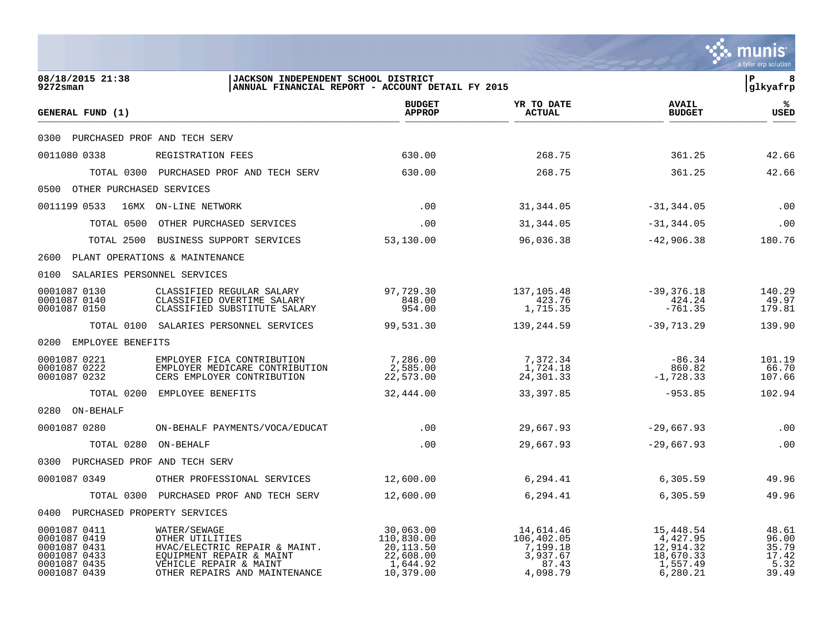|                                                                                              |                                                                                                                                                         |                                                                            |                                                                      |                                                                         | munis<br>a tyler erp solution                     |
|----------------------------------------------------------------------------------------------|---------------------------------------------------------------------------------------------------------------------------------------------------------|----------------------------------------------------------------------------|----------------------------------------------------------------------|-------------------------------------------------------------------------|---------------------------------------------------|
| 08/18/2015 21:38<br>9272sman                                                                 | JACKSON INDEPENDENT SCHOOL DISTRICT<br>ANNUAL FINANCIAL REPORT - ACCOUNT DETAIL FY 2015                                                                 |                                                                            |                                                                      |                                                                         | l P<br>8<br> glkyafrp                             |
| GENERAL FUND (1)                                                                             |                                                                                                                                                         | <b>BUDGET</b><br><b>APPROP</b>                                             | YR TO DATE<br><b>ACTUAL</b>                                          | <b>AVAIL</b><br><b>BUDGET</b>                                           | ℁<br><b>USED</b>                                  |
| 0300 PURCHASED PROF AND TECH SERV                                                            |                                                                                                                                                         |                                                                            |                                                                      |                                                                         |                                                   |
| 0011080 0338                                                                                 | REGISTRATION FEES                                                                                                                                       | 630.00                                                                     | 268.75                                                               | 361.25                                                                  | 42.66                                             |
|                                                                                              | TOTAL 0300 PURCHASED PROF AND TECH SERV                                                                                                                 | 630.00                                                                     | 268.75                                                               | 361.25                                                                  | 42.66                                             |
| 0500 OTHER PURCHASED SERVICES                                                                |                                                                                                                                                         |                                                                            |                                                                      |                                                                         |                                                   |
| 0011199 0533                                                                                 | 16MX ON-LINE NETWORK                                                                                                                                    | .00                                                                        | 31,344.05                                                            | $-31, 344.05$                                                           | .00                                               |
|                                                                                              | TOTAL 0500 OTHER PURCHASED SERVICES                                                                                                                     | .00                                                                        | 31,344.05                                                            | $-31, 344.05$                                                           | .00                                               |
|                                                                                              | TOTAL 2500 BUSINESS SUPPORT SERVICES                                                                                                                    | 53,130.00                                                                  | 96,036.38                                                            | $-42,906.38$                                                            | 180.76                                            |
| 2600 PLANT OPERATIONS & MAINTENANCE                                                          |                                                                                                                                                         |                                                                            |                                                                      |                                                                         |                                                   |
| 0100 SALARIES PERSONNEL SERVICES                                                             |                                                                                                                                                         |                                                                            |                                                                      |                                                                         |                                                   |
| 0001087 0130<br>0001087 0140<br>0001087 0150                                                 | CLASSIFIED REGULAR SALARY<br>CLASSIFIED OVERTIME SALARY<br>CLASSIFIED SUBSTITUTE SALARY                                                                 | 97,729.30<br>848.00<br>954.00                                              | 137,105.48<br>423.76<br>1,715.35                                     | $-39,376.18$<br>424.24<br>$-761.35$                                     | 140.29<br>49.97<br>179.81                         |
|                                                                                              | TOTAL 0100 SALARIES PERSONNEL SERVICES                                                                                                                  | 99,531.30                                                                  | 139,244.59                                                           | $-39,713.29$                                                            | 139.90                                            |
| 0200 EMPLOYEE BENEFITS                                                                       |                                                                                                                                                         |                                                                            |                                                                      |                                                                         |                                                   |
| 0001087 0221<br>0001087 0222<br>0001087 0232                                                 | EMPLOYER FICA CONTRIBUTION<br>EMPLOYER MEDICARE CONTRIBUTION<br>CERS EMPLOYER CONTRIBUTION                                                              | 7,286.00<br>2,585.00<br>22,573.00                                          | 7,372.34<br>1,724.18<br>24,301.33                                    | $-86.34$<br>860.82<br>$-1,728.33$                                       | 101.19<br>66.70<br>107.66                         |
|                                                                                              | TOTAL 0200 EMPLOYEE BENEFITS                                                                                                                            | 32,444.00                                                                  | 33, 397.85                                                           | $-953.85$                                                               | 102.94                                            |
| 0280 ON-BEHALF                                                                               |                                                                                                                                                         |                                                                            |                                                                      |                                                                         |                                                   |
| 0001087 0280                                                                                 | ON-BEHALF PAYMENTS/VOCA/EDUCAT                                                                                                                          | .00                                                                        | 29,667.93                                                            | $-29,667.93$                                                            | .00                                               |
| TOTAL 0280 ON-BEHALF                                                                         |                                                                                                                                                         | .00                                                                        | 29,667.93                                                            | $-29,667.93$                                                            | .00                                               |
| 0300 PURCHASED PROF AND TECH SERV                                                            |                                                                                                                                                         |                                                                            |                                                                      |                                                                         |                                                   |
| 0001087 0349                                                                                 | OTHER PROFESSIONAL SERVICES                                                                                                                             | 12,600.00                                                                  | 6,294.41                                                             | 6,305.59                                                                | 49.96                                             |
|                                                                                              | TOTAL 0300 PURCHASED PROF AND TECH SERV                                                                                                                 | 12,600.00                                                                  | 6,294.41                                                             | 6,305.59                                                                | 49.96                                             |
| 0400 PURCHASED PROPERTY SERVICES                                                             |                                                                                                                                                         |                                                                            |                                                                      |                                                                         |                                                   |
| 0001087 0411<br>0001087 0419<br>0001087 0431<br>0001087 0433<br>0001087 0435<br>0001087 0439 | WATER/SEWAGE<br>OTHER UTILITIES<br>HVAC/ELECTRIC REPAIR & MAINT.<br>EQUIPMENT REPAIR & MAINT<br>VEHICLE REPAIR & MAINT<br>OTHER REPAIRS AND MAINTENANCE | 30,063.00<br>110,830.00<br>20,113.50<br>22,608.00<br>1,644.92<br>10,379.00 | 14,614.46<br>106,402.05<br>7,199.18<br>3,937.67<br>87.43<br>4,098.79 | 15,448.54<br>4,427.95<br>12,914.32<br>18,670.33<br>1,557.49<br>6,280.21 | 48.61<br>96.00<br>35.79<br>17.42<br>5.32<br>39.49 |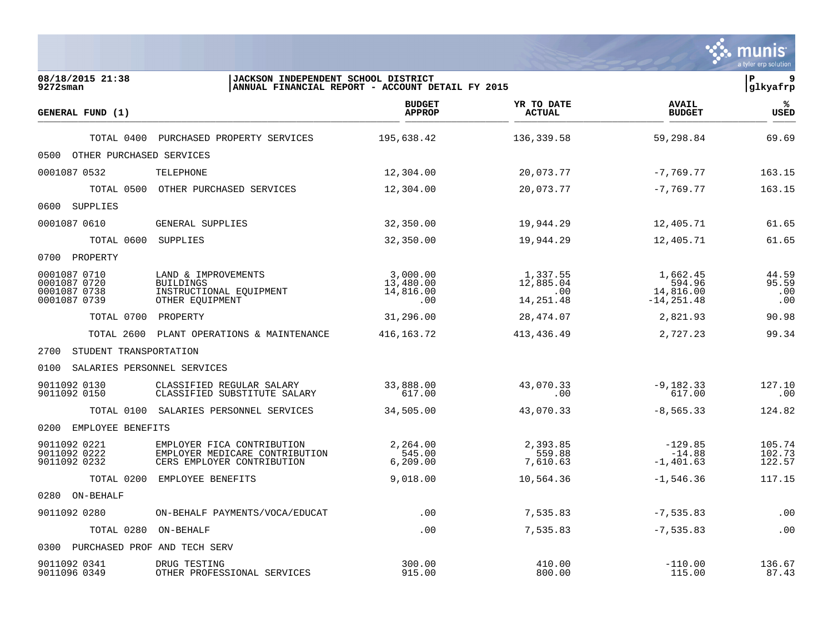|                                                              |                                                                                            |                                                  |                                           |                                                  | munis<br>a tyler erp solution |
|--------------------------------------------------------------|--------------------------------------------------------------------------------------------|--------------------------------------------------|-------------------------------------------|--------------------------------------------------|-------------------------------|
| 08/18/2015 21:38<br>$9272$ sman                              | JACKSON INDEPENDENT SCHOOL DISTRICT                                                        | ANNUAL FINANCIAL REPORT - ACCOUNT DETAIL FY 2015 |                                           |                                                  | l P<br>9<br> glkyafrp         |
| GENERAL FUND (1)                                             |                                                                                            | <b>BUDGET</b><br><b>APPROP</b>                   | YR TO DATE<br>ACTUAL                      | <b>AVAIL</b><br><b>BUDGET</b>                    | ℁<br><b>USED</b>              |
|                                                              | TOTAL 0400 PURCHASED PROPERTY SERVICES                                                     | 195,638.42                                       | 136,339.58                                | 59,298.84                                        | 69.69                         |
| OTHER PURCHASED SERVICES<br>0500                             |                                                                                            |                                                  |                                           |                                                  |                               |
| 0001087 0532                                                 | TELEPHONE                                                                                  | 12,304.00                                        | 20,073.77                                 | $-7,769.77$                                      | 163.15                        |
| TOTAL 0500                                                   | OTHER PURCHASED SERVICES                                                                   | 12,304.00                                        | 20,073.77                                 | $-7,769.77$                                      | 163.15                        |
| 0600 SUPPLIES                                                |                                                                                            |                                                  |                                           |                                                  |                               |
| 0001087 0610                                                 | GENERAL SUPPLIES                                                                           | 32,350.00                                        | 19,944.29                                 | 12,405.71                                        | 61.65                         |
| TOTAL 0600 SUPPLIES                                          |                                                                                            | 32,350.00                                        | 19,944.29                                 | 12,405.71                                        | 61.65                         |
| 0700 PROPERTY                                                |                                                                                            |                                                  |                                           |                                                  |                               |
| 0001087 0710<br>0001087 0720<br>0001087 0738<br>0001087 0739 | LAND & IMPROVEMENTS<br><b>BUILDINGS</b><br>INSTRUCTIONAL EQUIPMENT<br>OTHER EQUIPMENT      | 3,000.00<br>13,480.00<br>14,816.00<br>.00        | 1,337.55<br>12,885.04<br>.00<br>14,251.48 | 1,662.45<br>594.96<br>14,816.00<br>$-14, 251.48$ | 44.59<br>95.59<br>.00<br>.00  |
| TOTAL 0700                                                   | PROPERTY                                                                                   | 31,296.00                                        | 28,474.07                                 | 2,821.93                                         | 90.98                         |
| TOTAL 2600                                                   | PLANT OPERATIONS & MAINTENANCE                                                             | 416, 163. 72                                     | 413, 436.49                               | 2,727.23                                         | 99.34                         |
| 2700<br>STUDENT TRANSPORTATION                               |                                                                                            |                                                  |                                           |                                                  |                               |
| 0100<br>SALARIES PERSONNEL SERVICES                          |                                                                                            |                                                  |                                           |                                                  |                               |
| 9011092 0130<br>9011092 0150                                 | CLASSIFIED REGULAR SALARY<br>CLASSIFIED SUBSTITUTE SALARY                                  | 33,888.00<br>617.00                              | 43,070.33<br>.00                          | $-9,182.33$<br>617.00                            | 127.10<br>.00                 |
|                                                              | TOTAL 0100 SALARIES PERSONNEL SERVICES                                                     | 34,505.00                                        | 43,070.33                                 | $-8, 565.33$                                     | 124.82                        |
| 0200<br>EMPLOYEE BENEFITS                                    |                                                                                            |                                                  |                                           |                                                  |                               |
| 9011092 0221<br>9011092 0222<br>9011092 0232                 | EMPLOYER FICA CONTRIBUTION<br>EMPLOYER MEDICARE CONTRIBUTION<br>CERS EMPLOYER CONTRIBUTION | 2,264.00<br>545.00<br>6, 209.00                  | 2,393.85<br>559.88<br>7,610.63            | $-129.85$<br>$-14.88$<br>$-1,401.63$             | 105.74<br>102.73<br>122.57    |
| TOTAL 0200                                                   | EMPLOYEE BENEFITS                                                                          | 9,018.00                                         | 10,564.36                                 | $-1,546.36$                                      | 117.15                        |
| 0280 ON-BEHALF                                               |                                                                                            |                                                  |                                           |                                                  |                               |
| 9011092 0280                                                 | ON-BEHALF PAYMENTS/VOCA/EDUCAT                                                             | .00                                              | 7,535.83                                  | $-7,535.83$                                      | .00                           |
| TOTAL 0280 ON-BEHALF                                         |                                                                                            | .00                                              | 7,535.83                                  | $-7,535.83$                                      | .00                           |
| PURCHASED PROF AND TECH SERV<br>0300                         |                                                                                            |                                                  |                                           |                                                  |                               |
| 9011092 0341<br>9011096 0349                                 | DRUG TESTING<br>OTHER PROFESSIONAL SERVICES                                                | 300.00<br>915.00                                 | 410.00<br>800.00                          | $-110.00$<br>115.00                              | 136.67<br>87.43               |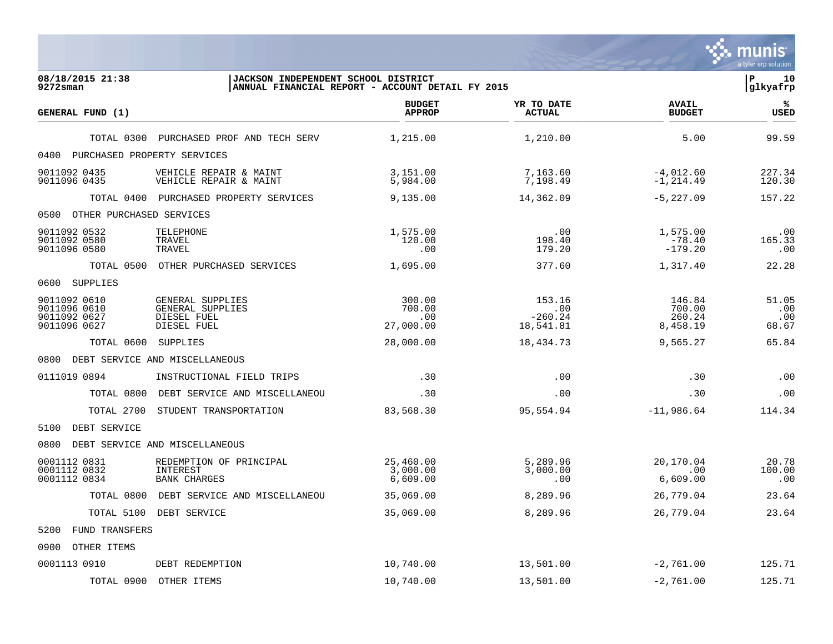|                                                              |                                                                    |                                                  |                                         |                                        | munis<br>a tyler erp solution |
|--------------------------------------------------------------|--------------------------------------------------------------------|--------------------------------------------------|-----------------------------------------|----------------------------------------|-------------------------------|
| 08/18/2015 21:38<br>9272sman                                 | JACKSON INDEPENDENT SCHOOL DISTRICT                                | ANNUAL FINANCIAL REPORT - ACCOUNT DETAIL FY 2015 |                                         |                                        | ΙP<br>10<br>glkyafrp          |
| GENERAL FUND (1)                                             |                                                                    | <b>BUDGET</b><br><b>APPROP</b>                   | YR TO DATE<br><b>ACTUAL</b>             | <b>AVAIL</b><br><b>BUDGET</b>          | ℁<br><b>USED</b>              |
| TOTAL 0300                                                   | PURCHASED PROF AND TECH SERV                                       | 1,215.00                                         | 1,210.00                                | 5.00                                   | 99.59                         |
| 0400<br>PURCHASED PROPERTY SERVICES                          |                                                                    |                                                  |                                         |                                        |                               |
| 9011092 0435<br>9011096 0435                                 | VEHICLE REPAIR & MAINT<br>VEHICLE REPAIR & MAINT                   | 3,151.00<br>5,984.00                             | 7,163.60<br>7,198.49                    | $-4,012.60$<br>$-1, 214.49$            | 227.34<br>120.30              |
| TOTAL 0400                                                   | PURCHASED PROPERTY SERVICES                                        | 9,135.00                                         | 14,362.09                               | $-5,227.09$                            | 157.22                        |
| OTHER PURCHASED SERVICES<br>0500                             |                                                                    |                                                  |                                         |                                        |                               |
| 9011092 0532<br>9011092 0580<br>9011096 0580                 | TELEPHONE<br>TRAVEL<br>TRAVEL                                      | 1,575.00<br>120.00<br>.00                        | .00<br>198.40<br>179.20                 | 1,575.00<br>$-78.40$<br>$-179.20$      | .00<br>165.33<br>.00          |
| TOTAL 0500                                                   | OTHER PURCHASED SERVICES                                           | 1,695.00                                         | 377.60                                  | 1,317.40                               | 22.28                         |
| 0600<br>SUPPLIES                                             |                                                                    |                                                  |                                         |                                        |                               |
| 9011092 0610<br>9011096 0610<br>9011092 0627<br>9011096 0627 | GENERAL SUPPLIES<br>GENERAL SUPPLIES<br>DIESEL FUEL<br>DIESEL FUEL | 300.00<br>700.00<br>.00<br>27,000.00             | 153.16<br>.00<br>$-260.24$<br>18,541.81 | 146.84<br>700.00<br>260.24<br>8,458.19 | 51.05<br>.00<br>.00<br>68.67  |
| TOTAL 0600                                                   | SUPPLIES                                                           | 28,000.00                                        | 18,434.73                               | 9,565.27                               | 65.84                         |
| 0800                                                         | DEBT SERVICE AND MISCELLANEOUS                                     |                                                  |                                         |                                        |                               |
| 0111019 0894                                                 | INSTRUCTIONAL FIELD TRIPS                                          | .30                                              | .00                                     | .30                                    | .00                           |
| TOTAL 0800                                                   | DEBT SERVICE AND MISCELLANEOU                                      | .30                                              | .00                                     | .30                                    | .00                           |
| TOTAL 2700                                                   | STUDENT TRANSPORTATION                                             | 83,568.30                                        | 95,554.94                               | $-11,986.64$                           | 114.34                        |
| DEBT SERVICE<br>5100                                         |                                                                    |                                                  |                                         |                                        |                               |
| 0800                                                         | DEBT SERVICE AND MISCELLANEOUS                                     |                                                  |                                         |                                        |                               |
| 0001112 0831<br>0001112 0832<br>0001112 0834                 | REDEMPTION OF PRINCIPAL<br>INTEREST<br><b>BANK CHARGES</b>         | 25,460.00<br>3,000.00<br>6,609.00                | 5,289.96<br>3,000.00<br>.00             | 20,170.04<br>.00<br>6,609.00           | 20.78<br>100.00<br>.00        |
| TOTAL 0800                                                   | DEBT SERVICE AND MISCELLANEOU                                      | 35,069.00                                        | 8,289.96                                | 26,779.04                              | 23.64                         |
|                                                              | TOTAL 5100 DEBT SERVICE                                            | 35,069.00                                        | 8,289.96                                | 26,779.04                              | 23.64                         |
| FUND TRANSFERS<br>5200                                       |                                                                    |                                                  |                                         |                                        |                               |
| OTHER ITEMS<br>0900                                          |                                                                    |                                                  |                                         |                                        |                               |
| 0001113 0910                                                 | DEBT REDEMPTION                                                    | 10,740.00                                        | 13,501.00                               | $-2,761.00$                            | 125.71                        |
| TOTAL 0900                                                   | OTHER ITEMS                                                        | 10,740.00                                        | 13,501.00                               | $-2,761.00$                            | 125.71                        |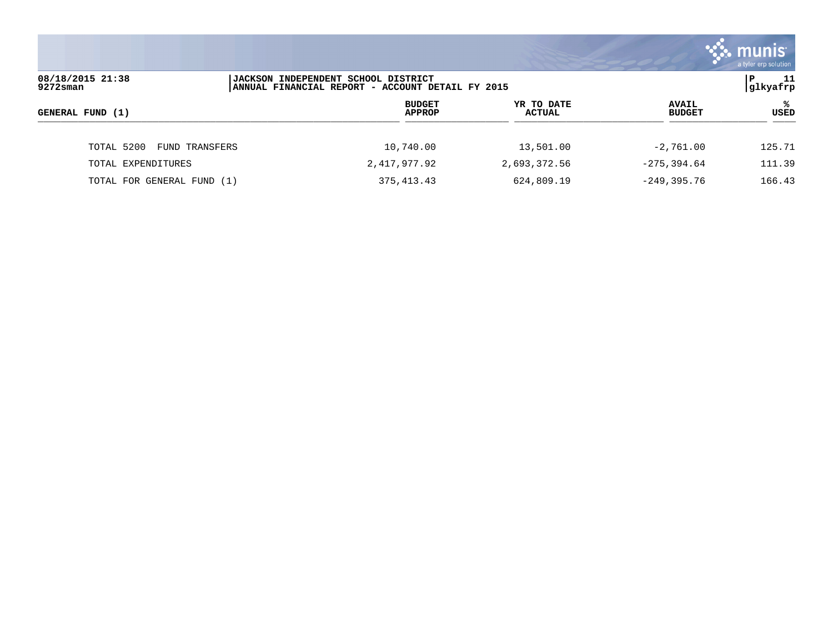|                                 |                                                                                                 |                             |                               | <b>munist</b><br>a tyler erp solution |
|---------------------------------|-------------------------------------------------------------------------------------------------|-----------------------------|-------------------------------|---------------------------------------|
| 08/18/2015 21:38<br>$9272$ sman | <b>JACKSON INDEPENDENT SCHOOL DISTRICT</b><br> ANNUAL FINANCIAL REPORT - ACCOUNT DETAIL FY 2015 |                             |                               | -11<br>P<br> glkyafrp                 |
| GENERAL FUND (1)                | <b>BUDGET</b><br><b>APPROP</b>                                                                  | YR TO DATE<br><b>ACTUAL</b> | <b>AVAIL</b><br><b>BUDGET</b> | ℁<br>USED                             |
| TOTAL 5200<br>FUND TRANSFERS    | 10,740.00                                                                                       | 13,501.00                   | $-2,761.00$                   | 125.71                                |
| TOTAL EXPENDITURES              | 2,417,977.92                                                                                    | 2,693,372.56                | $-275, 394.64$                | 111.39                                |
| TOTAL FOR GENERAL FUND (1)      | 375, 413. 43                                                                                    | 624,809.19                  | $-249, 395.76$                | 166.43                                |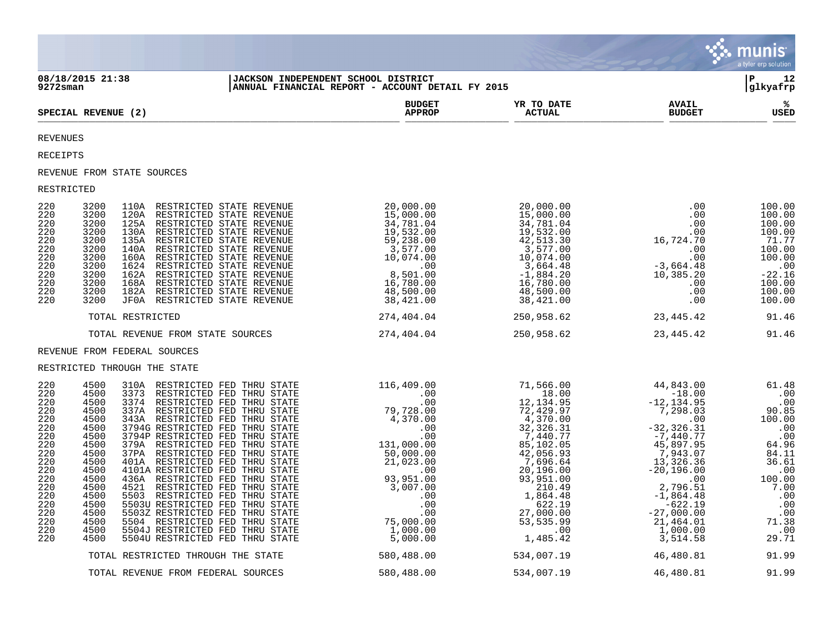|                                                                                                                                   |                                                                                                                                                                              |                                                                                                                                                                                                                                                                                                                                                                                                                                                                                                                                                                                                                                                                  |                                                                                                                                                                                                                                                                                                         |                                                                                                                                                                                                   |                                                                                                                                                                                                                                                                                                | munis<br>a tyler erp solution                                                                                                                          |
|-----------------------------------------------------------------------------------------------------------------------------------|------------------------------------------------------------------------------------------------------------------------------------------------------------------------------|------------------------------------------------------------------------------------------------------------------------------------------------------------------------------------------------------------------------------------------------------------------------------------------------------------------------------------------------------------------------------------------------------------------------------------------------------------------------------------------------------------------------------------------------------------------------------------------------------------------------------------------------------------------|---------------------------------------------------------------------------------------------------------------------------------------------------------------------------------------------------------------------------------------------------------------------------------------------------------|---------------------------------------------------------------------------------------------------------------------------------------------------------------------------------------------------|------------------------------------------------------------------------------------------------------------------------------------------------------------------------------------------------------------------------------------------------------------------------------------------------|--------------------------------------------------------------------------------------------------------------------------------------------------------|
| 9272sman                                                                                                                          | 08/18/2015 21:38                                                                                                                                                             |                                                                                                                                                                                                                                                                                                                                                                                                                                                                                                                                                                                                                                                                  | JACKSON INDEPENDENT SCHOOL DISTRICT<br>ANNUAL FINANCIAL REPORT - ACCOUNT DETAIL FY 2015                                                                                                                                                                                                                 |                                                                                                                                                                                                   |                                                                                                                                                                                                                                                                                                | lР<br>12<br> glkyafrp                                                                                                                                  |
|                                                                                                                                   | SPECIAL REVENUE (2)                                                                                                                                                          |                                                                                                                                                                                                                                                                                                                                                                                                                                                                                                                                                                                                                                                                  | <b>BUDGET</b><br><b>APPROP</b>                                                                                                                                                                                                                                                                          | YR TO DATE<br><b>ACTUAL</b>                                                                                                                                                                       | <b>AVAIL</b><br><b>BUDGET</b>                                                                                                                                                                                                                                                                  | ℁<br><b>USED</b>                                                                                                                                       |
| <b>REVENUES</b>                                                                                                                   |                                                                                                                                                                              |                                                                                                                                                                                                                                                                                                                                                                                                                                                                                                                                                                                                                                                                  |                                                                                                                                                                                                                                                                                                         |                                                                                                                                                                                                   |                                                                                                                                                                                                                                                                                                |                                                                                                                                                        |
| RECEIPTS                                                                                                                          |                                                                                                                                                                              |                                                                                                                                                                                                                                                                                                                                                                                                                                                                                                                                                                                                                                                                  |                                                                                                                                                                                                                                                                                                         |                                                                                                                                                                                                   |                                                                                                                                                                                                                                                                                                |                                                                                                                                                        |
|                                                                                                                                   | REVENUE FROM STATE SOURCES                                                                                                                                                   |                                                                                                                                                                                                                                                                                                                                                                                                                                                                                                                                                                                                                                                                  |                                                                                                                                                                                                                                                                                                         |                                                                                                                                                                                                   |                                                                                                                                                                                                                                                                                                |                                                                                                                                                        |
| RESTRICTED                                                                                                                        |                                                                                                                                                                              |                                                                                                                                                                                                                                                                                                                                                                                                                                                                                                                                                                                                                                                                  |                                                                                                                                                                                                                                                                                                         |                                                                                                                                                                                                   |                                                                                                                                                                                                                                                                                                |                                                                                                                                                        |
| 220<br>220<br>220<br>220<br>220<br>220<br>220<br>220<br>220<br>220<br>220<br>220                                                  | 3200<br>3200<br>3200<br>3200<br>3200<br>3200<br>140A<br>3200<br>3200<br>1624<br>3200<br>3200<br>3200<br>182A<br>3200<br>JF0A                                                 | 110A RESTRICTED STATE REVENUE<br>120A RESTRICTED STATE REVENUE<br>125A RESTRICTED STATE REVENUE<br>130A RESTRICTED STATE REVENUE<br>135A RESTRICTED STATE REVENUE<br>RESTRICTED STATE REVENUE<br>160A RESTRICTED STATE REVENUE<br>RESTRICTED STATE REVENUE<br>162A RESTRICTED STATE REVENUE<br>168A RESTRICTED STATE REVENUE<br>RESTRICTED STATE REVENUE<br>RESTRICTED STATE REVENUE                                                                                                                                                                                                                                                                             | 20,000.00<br>15,000.00<br>34,781.04<br>19,532.00<br>59,238.00<br>3,577.00<br>3,577.00<br>00,074.00<br>00<br>8,501.00<br>48,500.00<br>38,421.00<br>38,421.00                                                                                                                                             | 20,000.00<br>$15,000.00$<br>$34,781.04$<br>$19,532.00$<br>$42,513.30$<br>$3,577.00$<br>$10,074.00$<br>$\begin{array}{r} 3,664.48 \\ -1,884.20 \\ 16,780.00 \end{array}$<br>48,500.00<br>38,421.00 | .00<br>$.00 \,$<br>$.00 \,$<br>00<br>00.<br>16,724.70<br>00.<br>.00<br>.00<br>$-3,664.48\n10,385.20$<br>.00<br>.00<br>.00                                                                                                                                                                      | 100.00<br>100.00<br>100.00<br>100.00<br>71.77<br>100.00<br>100.00<br>$.00$<br>-22.16<br>100.00<br>100.00<br>100.00                                     |
|                                                                                                                                   | TOTAL RESTRICTED                                                                                                                                                             |                                                                                                                                                                                                                                                                                                                                                                                                                                                                                                                                                                                                                                                                  | 274,404.04                                                                                                                                                                                                                                                                                              | 250,958.62                                                                                                                                                                                        | 23,445.42                                                                                                                                                                                                                                                                                      | 91.46                                                                                                                                                  |
|                                                                                                                                   |                                                                                                                                                                              | TOTAL REVENUE FROM STATE SOURCES                                                                                                                                                                                                                                                                                                                                                                                                                                                                                                                                                                                                                                 | 274,404.04                                                                                                                                                                                                                                                                                              | 250,958.62                                                                                                                                                                                        | 23,445.42                                                                                                                                                                                                                                                                                      | 91.46                                                                                                                                                  |
|                                                                                                                                   | REVENUE FROM FEDERAL SOURCES                                                                                                                                                 |                                                                                                                                                                                                                                                                                                                                                                                                                                                                                                                                                                                                                                                                  |                                                                                                                                                                                                                                                                                                         |                                                                                                                                                                                                   |                                                                                                                                                                                                                                                                                                |                                                                                                                                                        |
|                                                                                                                                   | RESTRICTED THROUGH THE STATE                                                                                                                                                 |                                                                                                                                                                                                                                                                                                                                                                                                                                                                                                                                                                                                                                                                  |                                                                                                                                                                                                                                                                                                         |                                                                                                                                                                                                   |                                                                                                                                                                                                                                                                                                |                                                                                                                                                        |
| 220<br>220<br>220<br>220<br>220<br>220<br>220<br>220<br>220<br>220<br>220<br>220<br>220<br>220<br>220<br>220<br>220<br>220<br>220 | 4500<br>4500<br>3373<br>4500<br>4500<br>4500<br>4500<br>4500<br>4500<br>4500<br>4500<br>4500<br>4500<br>4500<br>4521<br>4500<br>5503<br>4500<br>4500<br>4500<br>4500<br>4500 | 310A RESTRICTED FED THRU STATE<br>RESTRICTED FED THRU STATE<br>3374 RESTRICTED FED THRU STATE<br>337A RESTRICTED FED THRU STATE<br>343A RESTRICTED FED THRU STATE<br>3794G RESTRICTED FED THRU STATE<br>3794P RESTRICTED FED<br>THRU STATE<br>379A RESTRICTED FED THRU STATE<br>37PA RESTRICTED FED THRU STATE<br>401A RESTRICTED FED THRU STATE<br>4101A RESTRICTED FED THRU STATE<br>436A RESTRICTED FED<br>THRU STATE<br>RESTRICTED FED THRU STATE<br>RESTRICTED FED THRU STATE<br>5503U RESTRICTED FED THRU STATE<br>5503Z RESTRICTED FED THRU STATE<br>5504 RESTRICTED FED THRU STATE<br>5504J RESTRICTED FED THRU STATE<br>5504U RESTRICTED FED THRU STATE | $\begin{array}{cccc} 116\,,409\,,000 & 71\,,566\,,00 \\ .00 & 00 & 12\,,134\,,95 \\ 79\,,728\,,00 & 12\,,429\,,97 \\ 4\,,370\,,00 & 32\,,326\,,31 \\ .00 & 32\,,346\,,77 \\ .00 & 32\,,426\,,37 \\ 131\,,000\,,00 & 85\,,102\,,69 \\ 50\,,000\,,00 & 42\,,056\,,93 \\ 21\,,023\,,00 & 42\,,056\,,93 \\$ |                                                                                                                                                                                                   | 44,843.00<br>$-18.00$<br>$-12,134.95$<br>$7,298.03$<br>.00<br>$-32, 326.31$<br>$-7,440.77$<br>45,897.95<br>$\begin{array}{r} 13,943.07 \\ 7,943.07 \\ 13,326.36 \\ -20,196.00 \end{array}$<br>00.<br>2,796.51<br>$-1,864.48$<br>$-622.19$<br>$-27,000.00$<br>21,464.01<br>1,000.00<br>3,514.58 | 61.48<br>.00<br>.00<br>90.85<br>100.00<br>.00<br>.00<br>64.96<br>84.11<br>36.61<br>.00<br>100.00<br>7.00<br>.00<br>.00<br>.00<br>71.38<br>.00<br>29.71 |
|                                                                                                                                   |                                                                                                                                                                              | TOTAL RESTRICTED THROUGH THE STATE                                                                                                                                                                                                                                                                                                                                                                                                                                                                                                                                                                                                                               | 580,488.00                                                                                                                                                                                                                                                                                              | 534,007.19                                                                                                                                                                                        | 46,480.81                                                                                                                                                                                                                                                                                      | 91.99                                                                                                                                                  |
|                                                                                                                                   |                                                                                                                                                                              | TOTAL REVENUE FROM FEDERAL SOURCES                                                                                                                                                                                                                                                                                                                                                                                                                                                                                                                                                                                                                               | 580,488.00                                                                                                                                                                                                                                                                                              | 534,007.19                                                                                                                                                                                        | 46,480.81                                                                                                                                                                                                                                                                                      | 91.99                                                                                                                                                  |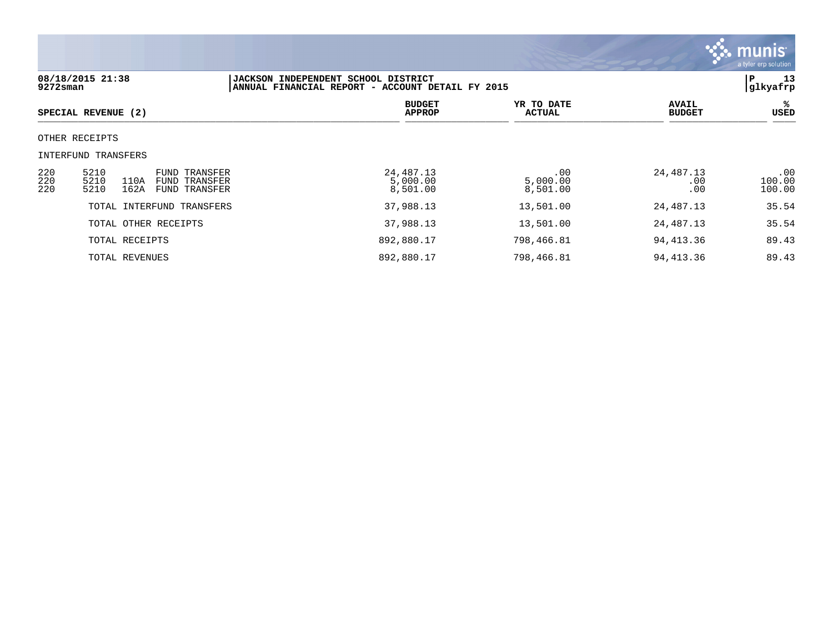

| 08/18/2015 21:38<br>JACKSON INDEPENDENT SCHOOL DISTRICT<br>$9272$ sman<br>ANNUAL FINANCIAL REPORT - ACCOUNT DETAIL FY 2015 |                                                                                                       |                                     |                             |                               |                         |
|----------------------------------------------------------------------------------------------------------------------------|-------------------------------------------------------------------------------------------------------|-------------------------------------|-----------------------------|-------------------------------|-------------------------|
|                                                                                                                            | SPECIAL REVENUE (2)                                                                                   | <b>BUDGET</b><br><b>APPROP</b>      | YR TO DATE<br><b>ACTUAL</b> | <b>AVAIL</b><br><b>BUDGET</b> | %<br>USED               |
|                                                                                                                            | OTHER RECEIPTS                                                                                        |                                     |                             |                               |                         |
|                                                                                                                            | INTERFUND TRANSFERS                                                                                   |                                     |                             |                               |                         |
| 220<br>220<br>220                                                                                                          | 5210<br><b>FUND TRANSFER</b><br>5210<br>110A<br><b>FUND TRANSFER</b><br>162A<br>5210<br>FUND TRANSFER | 24, 487. 13<br>5,000.00<br>8,501.00 | .00<br>5,000.00<br>8,501.00 | 24,487.13<br>.00<br>.00       | .00<br>100.00<br>100.00 |
|                                                                                                                            | TOTAL INTERFUND TRANSFERS                                                                             | 37,988.13                           | 13,501.00                   | 24,487.13                     | 35.54                   |
|                                                                                                                            | TOTAL OTHER RECEIPTS                                                                                  | 37,988.13                           | 13,501.00                   | 24,487.13                     | 35.54                   |
|                                                                                                                            | TOTAL RECEIPTS                                                                                        | 892,880.17                          | 798,466.81                  | 94,413.36                     | 89.43                   |
|                                                                                                                            | TOTAL REVENUES                                                                                        | 892,880.17                          | 798,466.81                  | 94, 413.36                    | 89.43                   |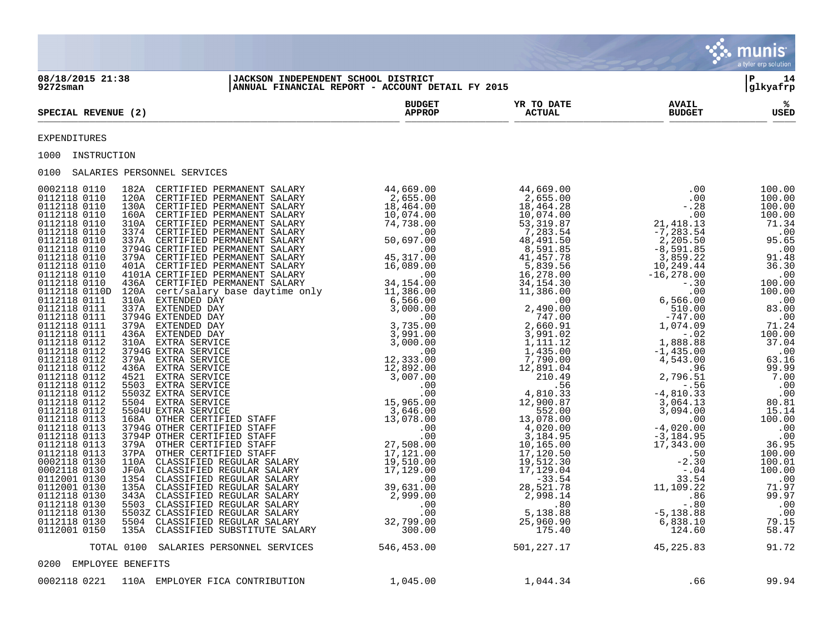|                                                                                                                                                                                                                                                                        |                                |                              |                               | $\ddot{\cdot}$ munist<br>a tyler erp solution |
|------------------------------------------------------------------------------------------------------------------------------------------------------------------------------------------------------------------------------------------------------------------------|--------------------------------|------------------------------|-------------------------------|-----------------------------------------------|
| JACKSON INDEPENDENT SCHOOL DISTRICT<br> ANNUAL FINANCIAL REPORT - ACCOUNT DETAIL FY 2015<br>08/18/2015 21:38<br>$9272$ sman                                                                                                                                            |                                |                              |                               | l P<br>14<br>glkyafrp                         |
| SPECIAL REVENUE (2)                                                                                                                                                                                                                                                    | <b>BUDGET</b><br><b>APPROP</b> | <b>YR TO DATE<br/>ACTUAL</b> | <b>AVAIL</b><br><b>BUDGET</b> | ిశ<br>USED                                    |
| <b>EXPENDITURES</b>                                                                                                                                                                                                                                                    |                                |                              |                               |                                               |
| 1000 INSTRUCTION                                                                                                                                                                                                                                                       |                                |                              |                               |                                               |
| 0100 SALARIES PERSONNEL SERVICES                                                                                                                                                                                                                                       |                                |                              |                               |                                               |
| 10.0 and 21.0 and 21.0 and 21.0 and 21.0 and 21.0 and 31.0 and 31.0 and 31.0 and 31.0 and 31.0 and 31.0 and 31.0 and 31.0 and 31.0 and 31.0 and 31.0 and 31.0 and 31.0 and 31.0 and 31.0 and 31.0 and 31.0 and 31.0 and 31.0<br>TOTAL 0100 SALARIES PERSONNEL SERVICES | 546,453.00 501,227.17          |                              | 45, 225.83                    | 91.72                                         |
|                                                                                                                                                                                                                                                                        |                                |                              |                               |                                               |
| 0200 EMPLOYEE BENEFITS                                                                                                                                                                                                                                                 |                                |                              |                               |                                               |
| 0002118 0221 110A EMPLOYER FICA CONTRIBUTION                                                                                                                                                                                                                           | 1,045.00                       | 1,044.34                     | .66                           | 99.94                                         |

 $\mathcal{L}^{\bullet}$  .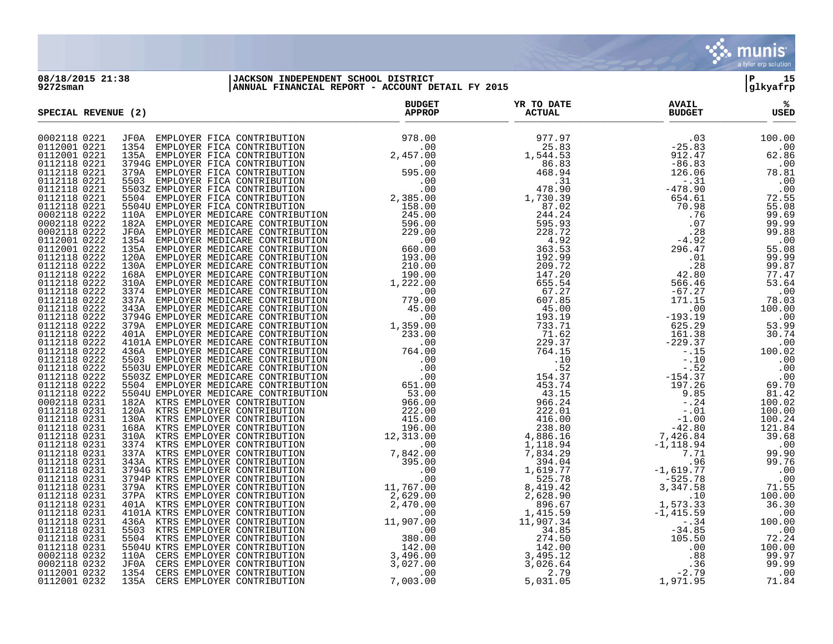

## **08/18/2015 21:38 |JACKSON INDEPENDENT SCHOOL DISTRICT |P 15 9272sman |ANNUAL FINANCIAL REPORT - ACCOUNT DETAIL FY 2015 |glkyafrp**

| SPECIAL REVENUE (2)          | <b>BUDGET</b><br>APPROP | YR TO DATE<br><b>ACTUAL</b> | <b>AVAIL</b><br><b>BUDGET</b> | ℁<br>USED |
|------------------------------|-------------------------|-----------------------------|-------------------------------|-----------|
| 0002118 0221                 |                         |                             |                               |           |
| 0112001 0221                 |                         |                             |                               |           |
| 0112001 0221                 |                         |                             |                               |           |
| 0112118 0221                 |                         |                             |                               |           |
| 0112118 0221                 |                         |                             |                               |           |
| 0112118 0221                 |                         |                             |                               |           |
| 0112118 0221                 |                         |                             |                               |           |
| 0112118 0221                 |                         |                             |                               |           |
| 0112118 0221                 |                         |                             |                               |           |
| 0002118 0222                 |                         |                             |                               |           |
| 0002118 0222<br>0002118 0222 |                         |                             |                               |           |
| 0112001 0222                 |                         |                             |                               |           |
| 0112001 0222                 |                         |                             |                               |           |
| 0112118 0222                 |                         |                             |                               |           |
| 0112118 0222                 |                         |                             |                               |           |
| 0112118 0222                 |                         |                             |                               |           |
| 0112118 0222                 |                         |                             |                               |           |
| 0112118 0222                 |                         |                             |                               |           |
| 0112118 0222                 |                         |                             |                               |           |
| 0112118 0222                 |                         |                             |                               |           |
| 0112118 0222                 |                         |                             |                               |           |
| 0112118 0222                 |                         |                             |                               |           |
| 0112118 0222                 |                         |                             |                               |           |
| 0112118 0222                 |                         |                             |                               |           |
| 0112118 0222                 |                         |                             |                               |           |
| 0112118 0222                 |                         |                             |                               |           |
| 0112118 0222                 |                         |                             |                               |           |
| 0112118 0222                 |                         |                             |                               |           |
| 0112118 0222                 |                         |                             |                               |           |
| 0112118 0222                 |                         |                             |                               |           |
| 0002118 0231                 |                         |                             |                               |           |
| 0112118 0231<br>0112118 0231 |                         |                             |                               |           |
| 0112118 0231                 |                         |                             |                               |           |
| 0112118 0231                 |                         |                             |                               |           |
| 0112118 0231                 |                         |                             |                               |           |
| 0112118 0231                 |                         |                             |                               |           |
| 0112118 0231                 |                         |                             |                               |           |
| 0112118 0231                 |                         |                             |                               |           |
| 0112118 0231                 |                         |                             |                               |           |
| 0112118 0231                 |                         |                             |                               |           |
| 0112118 0231                 |                         |                             |                               |           |
| 0112118 0231                 |                         |                             |                               |           |
| 0112118 0231                 |                         |                             |                               |           |
| 0112118 0231                 |                         |                             |                               |           |
| 0112118 0231                 |                         |                             |                               |           |
| 0112118 0231                 |                         |                             |                               |           |
| 0112118 0231                 |                         |                             |                               |           |
| 0002118 0232                 |                         |                             |                               |           |
| 0002118 0232                 |                         |                             |                               |           |
| 0112001 0232                 |                         |                             |                               |           |
| 0112001 0232                 |                         |                             |                               |           |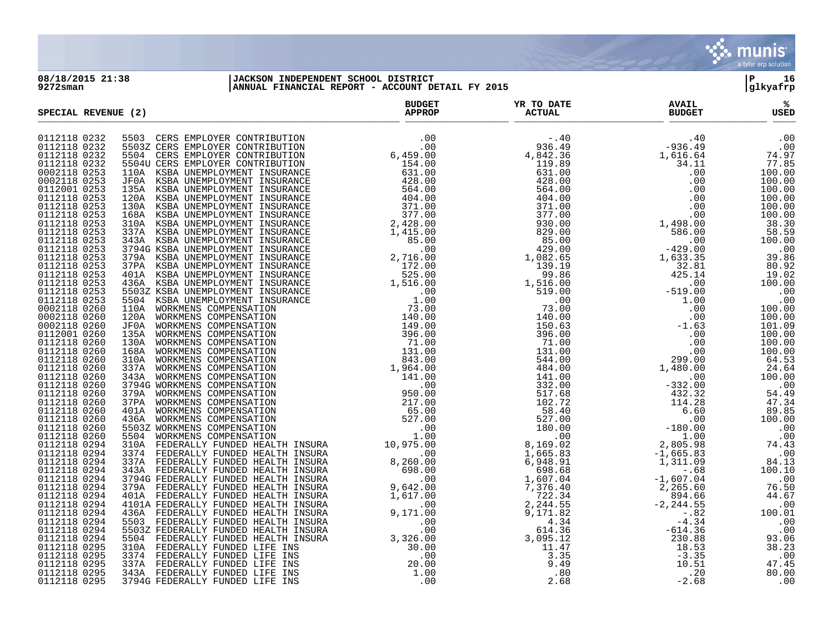

## **08/18/2015 21:38 |JACKSON INDEPENDENT SCHOOL DISTRICT |P 16 9272sman |ANNUAL FINANCIAL REPORT - ACCOUNT DETAIL FY 2015 |glkyafrp**

|                              | SPECIAL REVENUE (2) |  | YR TO DATE<br><b>ACTUAL</b> | <b>AVAIL</b><br><b>BUDGET</b> | ℁<br>USED |
|------------------------------|---------------------|--|-----------------------------|-------------------------------|-----------|
| 0112118 0232                 |                     |  |                             |                               |           |
| 0112118 0232                 |                     |  |                             |                               |           |
| 0112118 0232                 |                     |  |                             |                               |           |
| 0112118 0232                 |                     |  |                             |                               |           |
| 0002118 0253                 |                     |  |                             |                               |           |
| 0002118 0253                 |                     |  |                             |                               |           |
| 0112001 0253                 |                     |  |                             |                               |           |
| 0112118 0253                 |                     |  |                             |                               |           |
| 0112118 0253                 |                     |  |                             |                               |           |
| 0112118 0253                 |                     |  |                             |                               |           |
| 0112118 0253                 |                     |  |                             |                               |           |
| 0112118 0253                 |                     |  |                             |                               |           |
| 0112118 0253                 |                     |  |                             |                               |           |
| 0112118 0253                 |                     |  |                             |                               |           |
| 0112118 0253                 |                     |  |                             |                               |           |
| 0112118 0253                 |                     |  |                             |                               |           |
| 0112118 0253                 |                     |  |                             |                               |           |
| 0112118 0253                 |                     |  |                             |                               |           |
| 0112118 0253                 |                     |  |                             |                               |           |
| 0112118 0253                 |                     |  |                             |                               |           |
| 0002118 0260                 |                     |  |                             |                               |           |
| 0002118 0260                 |                     |  |                             |                               |           |
| 0002118 0260                 |                     |  |                             |                               |           |
| 0112001 0260                 |                     |  |                             |                               |           |
| 0112118 0260                 |                     |  |                             |                               |           |
| 0112118 0260                 |                     |  |                             |                               |           |
| 0112118 0260                 |                     |  |                             |                               |           |
| 0112118 0260                 |                     |  |                             |                               |           |
| 0112118 0260<br>0112118 0260 |                     |  |                             |                               |           |
|                              |                     |  |                             |                               |           |
| 0112118 0260<br>0112118 0260 |                     |  |                             |                               |           |
| 0112118 0260                 |                     |  |                             |                               |           |
| 0112118 0260                 |                     |  |                             |                               |           |
| 0112118 0260                 |                     |  |                             |                               |           |
| 0112118 0260                 |                     |  |                             |                               |           |
| 0112118 0294                 |                     |  |                             |                               |           |
| 0112118 0294                 |                     |  |                             |                               |           |
| 0112118 0294                 |                     |  |                             |                               |           |
| 0112118 0294                 |                     |  |                             |                               |           |
| 0112118 0294                 |                     |  |                             |                               |           |
| 0112118 0294                 |                     |  |                             |                               |           |
| 0112118 0294                 |                     |  |                             |                               |           |
| 0112118 0294                 |                     |  |                             |                               |           |
| 0112118 0294                 |                     |  |                             |                               |           |
| 0112118 0294                 |                     |  |                             |                               |           |
| 0112118 0294                 |                     |  |                             |                               |           |
| 0112118 0294                 |                     |  |                             |                               |           |
| 0112118 0295                 |                     |  |                             |                               |           |
| 0112118 0295                 |                     |  |                             |                               |           |
| 0112118 0295                 |                     |  |                             |                               |           |
| 0112118 0295                 |                     |  |                             |                               |           |
| 0112118 0295                 |                     |  |                             |                               |           |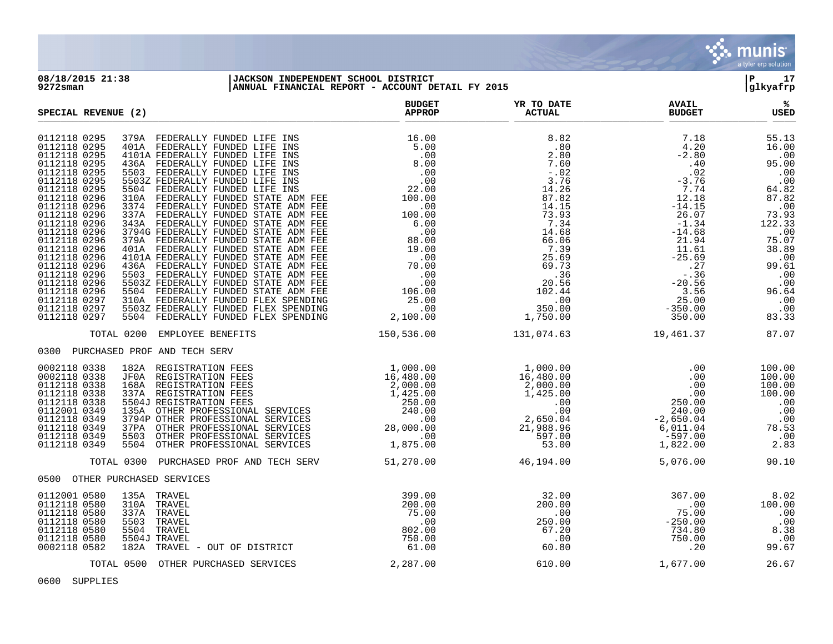

## **08/18/2015 21:38 |JACKSON INDEPENDENT SCHOOL DISTRICT |P 17 9272sman |ANNUAL FINANCIAL REPORT - ACCOUNT DETAIL FY 2015 |glkyafrp**

| SPECIAL REVENUE (2)                                                                                                                                                                                                                                                                                                                                                                                                                                                                                                                                                                                                                                                                                                                                                                                                                                                                                                                                                                                                                                                                                                                                                                                                       | <b>BUDGET</b><br><b>APPROP</b>  |                                                                                          | <b>AVAIL</b><br><b>BUDGET</b>                                                                                                                                                                                                                                                                       | ℁<br>USED                                                                                                             |
|---------------------------------------------------------------------------------------------------------------------------------------------------------------------------------------------------------------------------------------------------------------------------------------------------------------------------------------------------------------------------------------------------------------------------------------------------------------------------------------------------------------------------------------------------------------------------------------------------------------------------------------------------------------------------------------------------------------------------------------------------------------------------------------------------------------------------------------------------------------------------------------------------------------------------------------------------------------------------------------------------------------------------------------------------------------------------------------------------------------------------------------------------------------------------------------------------------------------------|---------------------------------|------------------------------------------------------------------------------------------|-----------------------------------------------------------------------------------------------------------------------------------------------------------------------------------------------------------------------------------------------------------------------------------------------------|-----------------------------------------------------------------------------------------------------------------------|
| 0112118 0295<br>379A FEDERALLY FUNDED LIFE INS<br>0112118 0295<br>401A FEDERALLY FUNDED LIFE INS<br>0112118 0295<br>4101A FEDERALLY FUNDED LIFE INS<br>0112118 0295<br>436A FEDERALLY FUNDED LIFE INS<br>0112118 0295<br>5503 FEDERALLY FUNDED LIFE INS<br>0112118 0295<br>5503Z FEDERALLY FUNDED LIFE INS<br>0112118 0295<br>5504 FEDERALLY FUNDED LIFE INS<br>0112118 0296<br>310A FEDERALLY FUNDED STATE ADM FEE<br>0112118 0296<br>3374 FEDERALLY FUNDED STATE ADM FEE<br>0112118 0296<br>337A FEDERALLY FUNDED STATE ADM FEE<br>0112118 0296<br>343A FEDERALLY FUNDED STATE ADM FEE<br>0112118 0296<br>3794G FEDERALLY FUNDED STATE ADM FEE<br>0112118 0296<br>379A FEDERALLY FUNDED STATE ADM FEE<br>0112118 0296<br>401A FEDERALLY FUNDED STATE ADM FEE<br>0112118 0296<br>4101A FEDERALLY FUNDED STATE ADM FEE<br>0112118 0296<br>436A FEDERALLY FUNDED STATE ADM FEE<br>0112118 0296<br>5503 FEDERALLY FUNDED STATE ADM FEE<br>0112118 0296<br>5503Z FEDERALLY FUNDED STATE ADM FEE<br>5504 FEDERALLY FUNDED STATE ADM FEE<br>0112118 0296<br>310A FEDERALLY FUNDED FLEX SPENDING<br>0112118 0297<br>0112118 0297<br>5503Z FEDERALLY FUNDED FLEX SPENDING<br>5504 FEDERALLY FUNDED FLEX SPENDING<br>0112118 0297 |                                 |                                                                                          | $\begin{array}{cccc} 7.18 & 55.13 \\ 4.20 & 16.00 \\ -2.80 & 16.00 \\ -3.76 & 0.00 \\ -3.774 & 64.82 \\ 12.18 & 87.82 \\ -14.15 & 26.07 & 73.93 \\ -1.34 & 122.33 \\ -1.468 & 122.33 \\ -1.61 & 75.07 \\ 21.94 & 75.07 \\ -25.69 & 38.89 \\ -25.69 & 0.00 \\ -20.56 & 0.00 \\ 3.56 & 96.64 \\ -35.$ |                                                                                                                       |
| TOTAL 0200<br>EMPLOYEE BENEFITS                                                                                                                                                                                                                                                                                                                                                                                                                                                                                                                                                                                                                                                                                                                                                                                                                                                                                                                                                                                                                                                                                                                                                                                           | 150,536.00 131,074.63           |                                                                                          | 19,461.37                                                                                                                                                                                                                                                                                           | 87.07                                                                                                                 |
| 0300 PURCHASED PROF AND TECH SERV                                                                                                                                                                                                                                                                                                                                                                                                                                                                                                                                                                                                                                                                                                                                                                                                                                                                                                                                                                                                                                                                                                                                                                                         |                                 |                                                                                          |                                                                                                                                                                                                                                                                                                     |                                                                                                                       |
| 1824 REGISTRATION FEES<br>JFRA REGISTRATION FEES<br>16,480.00<br>16,480.00<br>16,480.00<br>16,480.00<br>16,480.00<br>16,480.00<br>16,480.00<br>16,480.00<br>16,480.00<br>16,480.00<br>16,480.00<br>16,480.00<br>2,000.00<br>2,000.00<br>2,000.00<br>2,000.00<br>2,<br>0002118 0338<br>0002118 0338<br>0112118 0338<br>0112118 0338<br>0112118 0338<br>0112001 0349<br>0112118 0349<br>0112118 0349<br>0112118 0349<br>0112118 0349                                                                                                                                                                                                                                                                                                                                                                                                                                                                                                                                                                                                                                                                                                                                                                                        |                                 |                                                                                          | $\begin{array}{r} .00 \ .00 \ .00 \ .00 \ .00 \ .00 \ .250.00 \ .240.00 \ -2.650.04 \ 6,011.04 \ -597.00 \ 1,822.00 \end{array}$                                                                                                                                                                    | 100.00<br>$\begin{array}{r} 100.00\ 100.00\ 100.00\ 100.00\ 100.00\ 0.00\ 0.00\ 0.00\ 78.53\ 0.02\ 2.83\ \end{array}$ |
| TOTAL 0300 PURCHASED PROF AND TECH SERV 51,270.00                                                                                                                                                                                                                                                                                                                                                                                                                                                                                                                                                                                                                                                                                                                                                                                                                                                                                                                                                                                                                                                                                                                                                                         |                                 | 46,194.00                                                                                | 5,076.00                                                                                                                                                                                                                                                                                            | 90.10                                                                                                                 |
| 0500 OTHER PURCHASED SERVICES                                                                                                                                                                                                                                                                                                                                                                                                                                                                                                                                                                                                                                                                                                                                                                                                                                                                                                                                                                                                                                                                                                                                                                                             |                                 |                                                                                          |                                                                                                                                                                                                                                                                                                     |                                                                                                                       |
| 0112001 0580<br>135A TRAVEL<br>0112118 0580<br>310A TRAVEL<br>0112118 0580<br>337A<br>TRAVEL<br>0.01.00<br>802.00<br>750.00 750.00 PF DISTRICT<br>0112118 0580<br>5503<br>TRAVEL<br>0112118 0580<br>5504<br>TRAVEL<br>0112118 0580<br>5504J TRAVEL<br>0002118 0582<br>182A TRAVEL - OUT OF DISTRICT                                                                                                                                                                                                                                                                                                                                                                                                                                                                                                                                                                                                                                                                                                                                                                                                                                                                                                                       | 399.00<br>$200$<br>75.00<br>.00 | $\begin{array}{r} 32.00 \\ 200.00 \\ .00 \\ 250.00 \\ 67.20 \\ .00 \\ 60.80 \end{array}$ | $367.00$<br>$75.00$<br>$-250.00$<br>$-254.80$<br>$750.00$<br>$.20$                                                                                                                                                                                                                                  | $8.02$<br>$100.00$<br>$.00$<br>$8.38$<br>$.00$<br>$99.67$                                                             |
| TOTAL 0500 OTHER PURCHASED SERVICES                                                                                                                                                                                                                                                                                                                                                                                                                                                                                                                                                                                                                                                                                                                                                                                                                                                                                                                                                                                                                                                                                                                                                                                       | 2,287.00                        | 610.00                                                                                   | 1,677.00                                                                                                                                                                                                                                                                                            | 26.67                                                                                                                 |

0600 SUPPLIES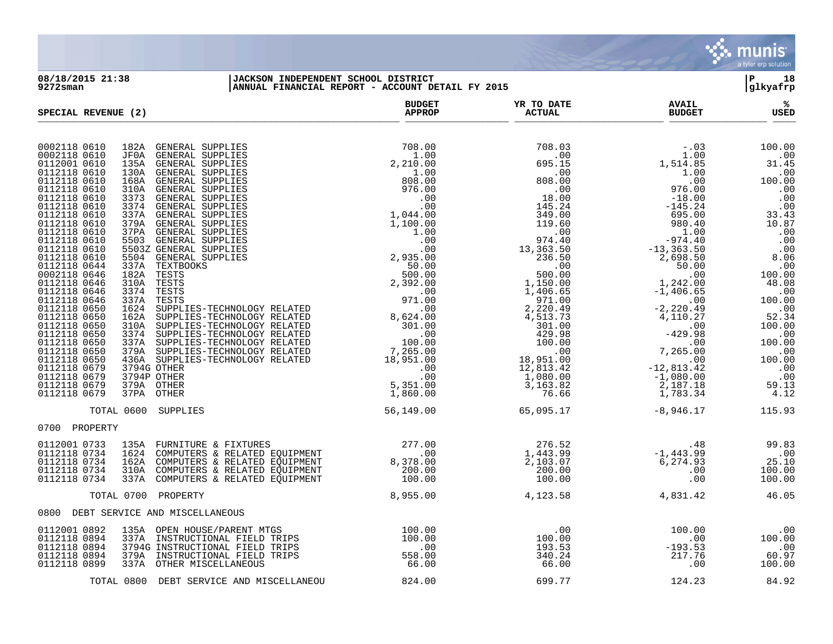

**08/18/2015 21:38 |JACKSON INDEPENDENT SCHOOL DISTRICT |P 18 9272sman |ANNUAL FINANCIAL REPORT - ACCOUNT DETAIL FY 2015 |glkyafrp**

| SPECIAL REVENUE (2)                                                                                                                                                                                                                                                                                                                                                                                                                                                                                                                                                                                                                                                                                                                                                                                                                                                                                                                                                                                                                                                                                                                                                                                                             | <b>BUDGET</b><br><b>APPROP</b>                                                                                                                                                                                                         | YR TO DATE<br><b>ACTUAL</b>                                         | <b>AVAIL</b><br><b>BUDGET</b>                                                                                                                                                                        | ℁<br><b>USED</b>                                                                                                                                                          |
|---------------------------------------------------------------------------------------------------------------------------------------------------------------------------------------------------------------------------------------------------------------------------------------------------------------------------------------------------------------------------------------------------------------------------------------------------------------------------------------------------------------------------------------------------------------------------------------------------------------------------------------------------------------------------------------------------------------------------------------------------------------------------------------------------------------------------------------------------------------------------------------------------------------------------------------------------------------------------------------------------------------------------------------------------------------------------------------------------------------------------------------------------------------------------------------------------------------------------------|----------------------------------------------------------------------------------------------------------------------------------------------------------------------------------------------------------------------------------------|---------------------------------------------------------------------|------------------------------------------------------------------------------------------------------------------------------------------------------------------------------------------------------|---------------------------------------------------------------------------------------------------------------------------------------------------------------------------|
| 0002118 0610<br>182A GENERAL SUPPLIES<br>$\begin{tabular}{c c c} \hline \textsc{supplines} & 708.00 & 708.00 \\ \hline \textsc{supplines} & 2, 210.00 & 695 \cdot 105 \\ \hline \textsc{supplines} & 2, 210.00 & 695 \cdot 105 \\ \hline \textsc{supplines} & 808.00 & 808.00 \\ \hline \textsc{supplines} & 976.00 & 18.00 \\ \hline \textsc{supplines} & 976.00 & 18.00 \\ \hline \textsc{supplines} & 976.00 & 18.00 \\ \hline$<br>0002118 0610<br>JF0A<br>GENERAL SUPPLIES<br>0112001 0610<br>135A<br>GENERAL SUPPLIES<br>0112118 0610<br><b>GENERAL SUPPLIES</b><br>130A<br>0112118 0610<br>168A<br><b>GENERAL SUPPLIES</b><br>0112118 0610<br>GENERAL SUPPLIES<br>310A<br>0112118 0610<br><b>GENERAL SUPPLIES</b><br>3373<br>0112118 0610<br>3374<br>GENERAL SUPPLIES<br>0112118 0610<br>337A<br><b>GENERAL SUPPLIES</b><br>0112118 0610<br><b>GENERAL SUPPLIES</b><br>379A<br>0112118 0610<br>37PA<br>GENERAL SUPPLIES<br>0112118 0610<br>5503<br>GENERAL SUPPLIES<br>0112118 0610<br>5503Z GENERAL SUPPLIES<br>0112118 0610<br>5504 GENERAL SUPPLIES<br>0112118 0644<br>337A<br>TEXTBOOKS<br>182A TESTS<br>0002118 0646<br>0112118 0646<br>310A TESTS<br>0112118 0646<br>3374<br>TESTS<br>0112118 0646<br>337A<br>TESTS |                                                                                                                                                                                                                                        |                                                                     | $-.03$<br>$1,514.85$<br>$1.00$<br>$0.00$<br>$976.00$<br>$-18.00$<br>$-145.24$<br>695.00<br>980.40<br>1.00<br>$-974.40$<br>$-13,363.50$<br>2,698.50<br>50.00<br>.00<br>$1,242.00$<br>-1,406.65<br>.00 | 100.00<br>.00<br>31.45<br>.00<br>100.00<br>$\ldots$<br>.00<br>.00<br>33.43<br>10.87<br>.00<br>.00<br>.00<br>8.06<br>.00<br>100.00<br>$100.00$<br>$48.08$<br>.00<br>100.00 |
| 0112118 0650<br>1624<br>SUPPLIES-TECHNOLOGY RELATED<br>0112118 0650<br>162A<br>SUPPLIES-TECHNOLOGY RELATED<br>0112118 0650<br>310A<br>SUPPLIES-TECHNOLOGY RELATED<br>0112118 0650<br>3374<br>SUPPLIES-TECHNOLOGY RELATED<br>0112118 0650<br>SUPPLIES-TECHNOLOGY RELATED<br>337A<br>0112118 0650<br>379A<br>SUPPLIES-TECHNOLOGY RELATED<br>0112118 0650<br>436A SUPPLIES-TECHNOLOGY RELATED<br>0112118 0679<br>3794G OTHER<br>0112118 0679<br>3794P OTHER<br>0112118 0679<br>379A OTHER<br>0112118 0679<br>37PA OTHER                                                                                                                                                                                                                                                                                                                                                                                                                                                                                                                                                                                                                                                                                                            |                                                                                                                                                                                                                                        |                                                                     | $-2, 220.49$<br>$-4, 110.27$<br>$-429.98$<br>$-00$<br>$-7, 265.00$<br>$-12, 813.42$<br>$-1, 080.00$<br>$2, 187.08$<br>2,187.18<br>1,783.34                                                           | $.00$<br>52.34<br>100.00<br>$\overline{\phantom{0}}$ .00<br>100.00<br>.00<br>100.00<br>$\frac{.00}{.00}$<br>$\overline{00}$<br>59.13<br>4.12                              |
| TOTAL 0600 SUPPLIES                                                                                                                                                                                                                                                                                                                                                                                                                                                                                                                                                                                                                                                                                                                                                                                                                                                                                                                                                                                                                                                                                                                                                                                                             | 56,149.00                                                                                                                                                                                                                              | 65,095.17                                                           | $-8,946.17$                                                                                                                                                                                          | 115.93                                                                                                                                                                    |
| 0700 PROPERTY                                                                                                                                                                                                                                                                                                                                                                                                                                                                                                                                                                                                                                                                                                                                                                                                                                                                                                                                                                                                                                                                                                                                                                                                                   |                                                                                                                                                                                                                                        |                                                                     |                                                                                                                                                                                                      |                                                                                                                                                                           |
| 0112001 0733<br>FURNITURE & FIXTURES<br>135A<br>0112118 0734<br>1624<br>COMPUTERS & RELATED EQUIPMENT<br>COMPUTERS & RELATED EQUIPMENT<br>0112118 0734<br>162A<br>0112118 0734<br>COMPUTERS & RELATED EQUIPMENT<br>310A<br>0112118 0734<br>337A COMPUTERS & RELATED EQUIPMENT                                                                                                                                                                                                                                                                                                                                                                                                                                                                                                                                                                                                                                                                                                                                                                                                                                                                                                                                                   | 11 PMENT $\begin{array}{ccccc} & & 277.00 & & 276.52 \text{ 11 PMENT} & & & 00 & & 1,443.99 \text{ 11 PMENT} & & & 8,378.00 & & 2,103.07 \text{ 11 PMENT} & & & 200.00 & & & 200.00 \text{ 100.00} & & & & 100.00 & & & & \end{array}$ |                                                                     | 48.<br>1,443.99–1,443.99<br>6,274.93<br>.00<br>.00                                                                                                                                                   | 99.83<br>$.00$<br>25.10<br>100.00<br>100.00                                                                                                                               |
| TOTAL 0700 PROPERTY                                                                                                                                                                                                                                                                                                                                                                                                                                                                                                                                                                                                                                                                                                                                                                                                                                                                                                                                                                                                                                                                                                                                                                                                             | 8,955.00                                                                                                                                                                                                                               | 4,123.58                                                            | 4,831.42                                                                                                                                                                                             | 46.05                                                                                                                                                                     |
| 0800 DEBT SERVICE AND MISCELLANEOUS                                                                                                                                                                                                                                                                                                                                                                                                                                                                                                                                                                                                                                                                                                                                                                                                                                                                                                                                                                                                                                                                                                                                                                                             |                                                                                                                                                                                                                                        |                                                                     |                                                                                                                                                                                                      |                                                                                                                                                                           |
| 0112001 0892<br>135A OPEN HOUSE/PARENT MTGS<br>0112118 0894<br>337A INSTRUCTIONAL FIELD TRIPS<br>0112118 0894<br>3794G INSTRUCTIONAL FIELD TRIPS<br>0112118 0894<br>379A INSTRUCTIONAL FIELD TRIPS<br>0112118 0899<br>337A OTHER MISCELLANEOUS                                                                                                                                                                                                                                                                                                                                                                                                                                                                                                                                                                                                                                                                                                                                                                                                                                                                                                                                                                                  | 95<br>95<br>95<br>95<br>95<br>96.00<br>96.00<br>96.00<br>66.00                                                                                                                                                                         | $\overline{\phantom{0}}$ .00<br>100.00<br>193.53<br>340.24<br>66.00 | 100.00<br>.00<br>$-193.53$<br>217.76<br>.00                                                                                                                                                          | .00<br>100.00<br>.00<br>60.97<br>100.00                                                                                                                                   |
| TOTAL 0800 DEBT SERVICE AND MISCELLANEOU                                                                                                                                                                                                                                                                                                                                                                                                                                                                                                                                                                                                                                                                                                                                                                                                                                                                                                                                                                                                                                                                                                                                                                                        | 824.00                                                                                                                                                                                                                                 | 699.77                                                              | 124.23                                                                                                                                                                                               | 84.92                                                                                                                                                                     |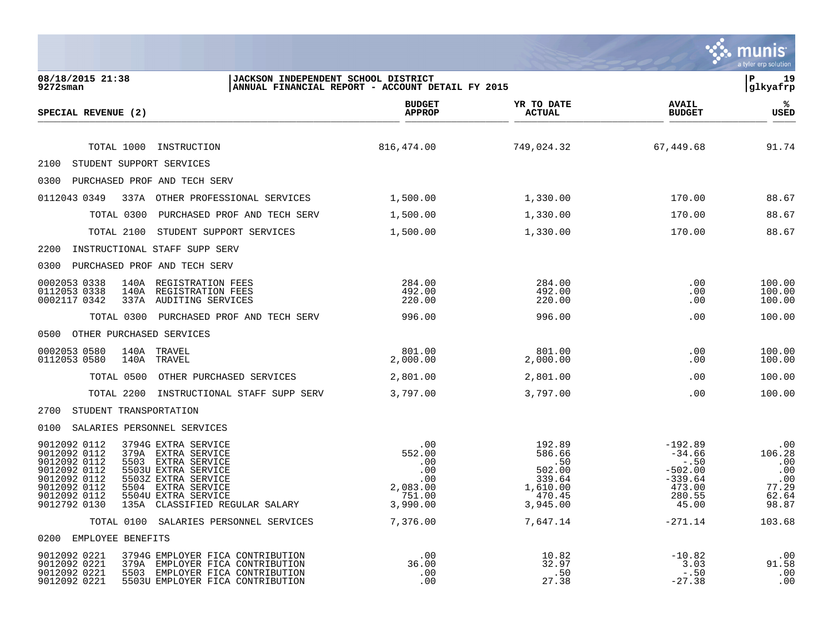|                                                                                                                                                                                                                                                                                                                              |                                                                       |                                                                               |                                                                                        | munis <sup>®</sup><br>a tyler erp solution                    |
|------------------------------------------------------------------------------------------------------------------------------------------------------------------------------------------------------------------------------------------------------------------------------------------------------------------------------|-----------------------------------------------------------------------|-------------------------------------------------------------------------------|----------------------------------------------------------------------------------------|---------------------------------------------------------------|
| 08/18/2015 21:38<br>JACKSON INDEPENDENT SCHOOL DISTRICT<br>$9272$ sman                                                                                                                                                                                                                                                       | ANNUAL FINANCIAL REPORT - ACCOUNT DETAIL FY 2015                      |                                                                               |                                                                                        | ∣P<br>19<br> glkyafrp                                         |
| SPECIAL REVENUE (2)                                                                                                                                                                                                                                                                                                          | <b>BUDGET</b><br><b>APPROP</b>                                        | YR TO DATE<br><b>ACTUAL</b>                                                   | <b>AVAIL</b><br><b>BUDGET</b>                                                          | ℁<br>USED                                                     |
| TOTAL 1000<br>INSTRUCTION                                                                                                                                                                                                                                                                                                    | 816,474.00                                                            | 749,024.32                                                                    | 67,449.68                                                                              | 91.74                                                         |
| 2100<br>STUDENT SUPPORT SERVICES                                                                                                                                                                                                                                                                                             |                                                                       |                                                                               |                                                                                        |                                                               |
| PURCHASED PROF AND TECH SERV<br>0300                                                                                                                                                                                                                                                                                         |                                                                       |                                                                               |                                                                                        |                                                               |
| 0112043 0349<br>337A OTHER PROFESSIONAL SERVICES                                                                                                                                                                                                                                                                             | 1,500.00                                                              | 1,330.00                                                                      | 170.00                                                                                 | 88.67                                                         |
| TOTAL 0300<br>PURCHASED PROF AND TECH SERV                                                                                                                                                                                                                                                                                   | 1,500.00                                                              | 1,330.00                                                                      | 170.00                                                                                 | 88.67                                                         |
| TOTAL 2100<br>STUDENT SUPPORT SERVICES                                                                                                                                                                                                                                                                                       | 1,500.00                                                              | 1,330.00                                                                      | 170.00                                                                                 | 88.67                                                         |
| INSTRUCTIONAL STAFF SUPP SERV<br>2200                                                                                                                                                                                                                                                                                        |                                                                       |                                                                               |                                                                                        |                                                               |
| PURCHASED PROF AND TECH SERV<br>0300                                                                                                                                                                                                                                                                                         |                                                                       |                                                                               |                                                                                        |                                                               |
| 140A<br>REGISTRATION FEES<br>0002053 0338<br>0112053 0338<br>140A<br>REGISTRATION FEES<br>0002117 0342<br>AUDITING SERVICES<br>337A                                                                                                                                                                                          | 284.00<br>492.00<br>220.00                                            | 284.00<br>492.00<br>220.00                                                    | .00<br>.00<br>.00                                                                      | 100.00<br>100.00<br>100.00                                    |
| TOTAL 0300<br>PURCHASED PROF AND TECH SERV                                                                                                                                                                                                                                                                                   | 996.00                                                                | 996.00                                                                        | .00                                                                                    | 100.00                                                        |
| OTHER PURCHASED SERVICES<br>0500                                                                                                                                                                                                                                                                                             |                                                                       |                                                                               |                                                                                        |                                                               |
| 0002053 0580<br>140A TRAVEL<br>0112053 0580<br>140A<br>TRAVEL                                                                                                                                                                                                                                                                | 801.00<br>2,000.00                                                    | 801.00<br>2,000.00                                                            | .00<br>.00                                                                             | 100.00<br>100.00                                              |
| TOTAL 0500<br>OTHER PURCHASED SERVICES                                                                                                                                                                                                                                                                                       | 2,801.00                                                              | 2,801.00                                                                      | .00                                                                                    | 100.00                                                        |
| TOTAL 2200<br>INSTRUCTIONAL STAFF SUPP SERV                                                                                                                                                                                                                                                                                  | 3,797.00                                                              | 3,797.00                                                                      | .00                                                                                    | 100.00                                                        |
| STUDENT TRANSPORTATION<br>2700                                                                                                                                                                                                                                                                                               |                                                                       |                                                                               |                                                                                        |                                                               |
| 0100<br>SALARIES PERSONNEL SERVICES                                                                                                                                                                                                                                                                                          |                                                                       |                                                                               |                                                                                        |                                                               |
| 9012092 0112<br>3794G EXTRA SERVICE<br>9012092 0112<br>379A EXTRA SERVICE<br>9012092 0112<br>5503 EXTRA SERVICE<br>9012092 0112<br>5503U EXTRA SERVICE<br>9012092 0112<br>5503Z EXTRA SERVICE<br>9012092 0112<br>5504 EXTRA SERVICE<br>9012092 0112<br>5504U EXTRA SERVICE<br>9012792 0130<br>135A CLASSIFIED REGULAR SALARY | .00.<br>552.00<br>.00<br>.00<br>.00<br>2,083.00<br>751.00<br>3,990.00 | 192.89<br>586.66<br>.50<br>502.00<br>339.64<br>1,610.00<br>470.45<br>3,945.00 | $-192.89$<br>$-34.66$<br>$-.50$<br>$-502.00$<br>$-339.64$<br>473.00<br>280.55<br>45.00 | .00<br>106.28<br>.00<br>.00<br>.00<br>77.29<br>62.64<br>98.87 |
| TOTAL 0100 SALARIES PERSONNEL SERVICES                                                                                                                                                                                                                                                                                       | 7,376.00                                                              | 7,647.14                                                                      | $-271.14$                                                                              | 103.68                                                        |
| 0200 EMPLOYEE BENEFITS                                                                                                                                                                                                                                                                                                       |                                                                       |                                                                               |                                                                                        |                                                               |
| 9012092 0221<br>3794G EMPLOYER FICA CONTRIBUTION<br>9012092 0221<br>379A EMPLOYER FICA CONTRIBUTION<br>9012092 0221<br>5503 EMPLOYER FICA CONTRIBUTION<br>9012092 0221<br>5503U EMPLOYER FICA CONTRIBUTION                                                                                                                   | .00<br>36.00<br>.00<br>.00                                            | 10.82<br>32.97<br>.50<br>27.38                                                | $-10.82$<br>3.03<br>$-.50$<br>$-27.38$                                                 | .00<br>91.58<br>.00<br>.00                                    |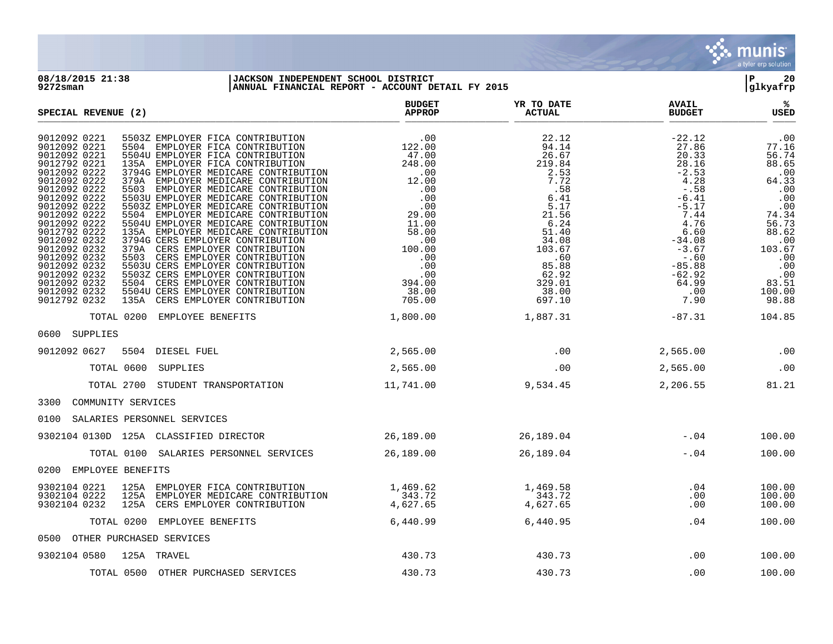

**08/18/2015 21:38 |JACKSON INDEPENDENT SCHOOL DISTRICT |P 20 9272sman |ANNUAL FINANCIAL REPORT - ACCOUNT DETAIL FY 2015 |glkyafrp BUDGET YR TO DATE APPROP ACTUAL SPECIAL REVENUE (2) ARRORET BUDGET ARRORET SPECIAL REVENUE (2) ACTUAL BUDGET ACTUAL BUDGET BUDGET**  $\frac{\text{AFR} + \text{R}}{\text{AFR}}$ 9012092 0221 5503Z EMPLOYER FICA CONTRIBUTION .00 .00 22.12 -22.12 -22.12 .00 9012092 0221 5504 EMPLOYER FICA CONTRIBUTION 122.00 94.14 27.86 77.16 9012092 0221 5504U EMPLOYER FICA CONTRIBUTION 47.00 26.67 20.33 56.74 9012792 0221 135A EMPLOYER FICA CONTRIBUTION 248.00 219.84 28.16 88.65 9012092 0222 3794G EMPLOYER MEDICARE CONTRIBUTION .00 .00 2.53 -2.53 -2.53 .00 9012092 0222 379A EMPLOYER MEDICARE CONTRIBUTION 12.00 7.72 4.28 64.33 9012092 0222 5503 EMPLOYER MEDICARE CONTRIBUTION .00 .58 -.58 .00 9012092 0222 5503U EMPLOYER MEDICARE CONTRIBUTION .00 .00 6.41 -6.41 -6.41 .00 9012092 0222 5503Z EMPLOYER MEDICARE CONTRIBUTION .00 .00 5.17 -5.17 -5.17 -5.17 .00 9012092 0222 5504 EMPLOYER MEDICARE CONTRIBUTION 29.00 21.56 7.44 74.34 9012092 0222 5504U EMPLOYER MEDICARE CONTRIBUTION 11.00 6.24 4.76 56.73 9012792 0222 135A EMPLOYER MEDICARE CONTRIBUTION 58.00 51.40 6.60 88.62 9012092 0232 3794G CERS EMPLOYER CONTRIBUTION .00 34.08 -34.08 .00 9012092 0232 379A CERS EMPLOYER CONTRIBUTION 100.00 103.67 103.67 -3.67 103.67 9012092 0232 5503 CERS EMPLOYER CONTRIBUTION .00 .60 -.60 .00 9012092 0232 5503U CERS EMPLOYER CONTRIBUTION .00 85.88 -85.88 .00 9012092 0232 5503Z CERS EMPLOYER CONTRIBUTION .00 62.92 -62.92 .00 9012092 0232 5504 CERS EMPLOYER CONTRIBUTION 394.00 329.01 64.99 83.51 9012092 0232 5504U CERS EMPLOYER CONTRIBUTION 38.00 38.00 38.00 38.00 38.00 38.00 9012792 0232 135A CERS EMPLOYER CONTRIBUTION 705.00 697.10 7.90 98.88 TOTAL 0200 EMPLOYEE BENEFITS  $1,800.00$   $1,887.31$   $-87.31$   $-87.31$ 0600 SUPPLIES 9012092 0627 5504 DIESEL FUEL 2,565.00 2,565.00 .00 .00 2,565.00 .00 TOTAL 0600 SUPPLIES 2,565.00 .00 2,565.00 .00 TOTAL 2700 STUDENT TRANSPORTATION 11,741.00 9,534.45 2,206.55 81.21 3300 COMMUNITY SERVICES 0100 SALARIES PERSONNEL SERVICES 9302104 0130D 125A CLASSIFIED DIRECTOR 26,189.00 26,189.04 -.04 100.00 TOTAL 0100 SALARIES PERSONNEL SERVICES 26,189.00 26,189.04 -.04 100.00 0200 EMPLOYEE BENEFITS 9302104 0221 125A EMPLOYER FICA CONTRIBUTION  $1,469.62$  1,469.58 .04 .00.00 9302104 0222 125A EMPLOYER MEDICARE CONTRIBUTION 343.72 343.72 343.72 .00 100.00 9302104 0232 125A CERS EMPLOYER CONTRIBUTION  $4,627.65$   $4,627.65$   $4,627.65$   $\ldots$  .00  $100.00$  TOTAL 0200 EMPLOYEE BENEFITS 6,440.99 6,440.95 .04 100.00 0500 OTHER PURCHASED SERVICES 9302104 0580 125A TRAVEL 430.73 430.73 .00 100.00 TOTAL 0500 OTHER PURCHASED SERVICES 430.73 430.73 430.73 430.73 00 100.00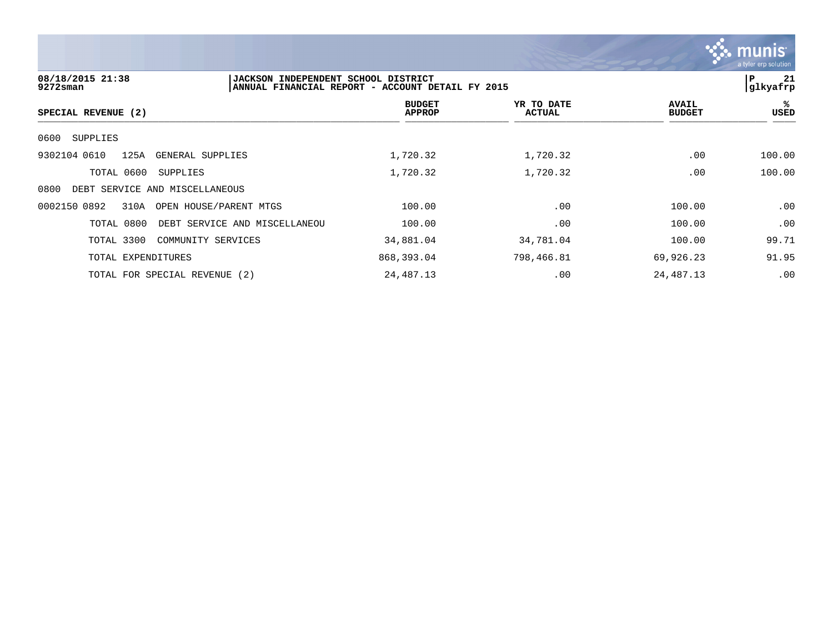

| 08/18/2015 21:38<br>$9272$ sman                | JACKSON INDEPENDENT SCHOOL DISTRICT<br>ANNUAL FINANCIAL REPORT - ACCOUNT DETAIL FY 2015 |                                |                      |                               | l P<br>21<br> glkyafrp |
|------------------------------------------------|-----------------------------------------------------------------------------------------|--------------------------------|----------------------|-------------------------------|------------------------|
| SPECIAL REVENUE (2)                            |                                                                                         | <b>BUDGET</b><br><b>APPROP</b> | YR TO DATE<br>ACTUAL | <b>AVAIL</b><br><b>BUDGET</b> | ℁<br>USED              |
| 0600<br>SUPPLIES                               |                                                                                         |                                |                      |                               |                        |
| 125A<br>9302104 0610<br>GENERAL SUPPLIES       |                                                                                         | 1,720.32                       | 1,720.32             | .00                           | 100.00                 |
| TOTAL 0600<br>SUPPLIES                         |                                                                                         | 1,720.32                       | 1,720.32             | .00                           | 100.00                 |
| 0800<br>DEBT SERVICE AND MISCELLANEOUS         |                                                                                         |                                |                      |                               |                        |
| 310A<br>0002150 0892<br>OPEN HOUSE/PARENT MTGS |                                                                                         | 100.00                         | .00                  | 100.00                        | .00                    |
| TOTAL 0800                                     | DEBT SERVICE AND MISCELLANEOU                                                           | 100.00                         | .00                  | 100.00                        | .00                    |
| TOTAL 3300<br>COMMUNITY SERVICES               |                                                                                         | 34,881.04                      | 34,781.04            | 100.00                        | 99.71                  |
| TOTAL EXPENDITURES                             |                                                                                         | 868,393.04                     | 798,466.81           | 69,926.23                     | 91.95                  |
| TOTAL FOR SPECIAL REVENUE (2)                  |                                                                                         | 24,487.13                      | .00                  | 24,487.13                     | .00                    |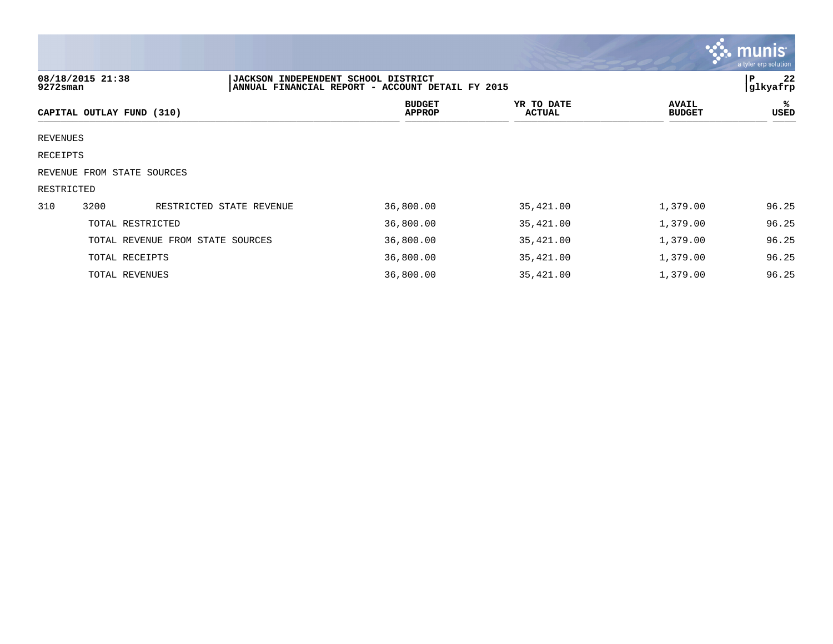|            |                            |                                            |                                                  |                             |                               | <b>W. MUNIS</b><br>a tyler erp solution |
|------------|----------------------------|--------------------------------------------|--------------------------------------------------|-----------------------------|-------------------------------|-----------------------------------------|
| 9272sman   | 08/18/2015 21:38           | <b>JACKSON INDEPENDENT SCHOOL DISTRICT</b> | ANNUAL FINANCIAL REPORT - ACCOUNT DETAIL FY 2015 |                             |                               | 22<br>P<br>glkyafrp                     |
|            | CAPITAL OUTLAY FUND (310)  |                                            | <b>BUDGET</b><br><b>APPROP</b>                   | YR TO DATE<br><b>ACTUAL</b> | <b>AVAIL</b><br><b>BUDGET</b> | ℁<br>USED                               |
| REVENUES   |                            |                                            |                                                  |                             |                               |                                         |
| RECEIPTS   |                            |                                            |                                                  |                             |                               |                                         |
|            | REVENUE FROM STATE SOURCES |                                            |                                                  |                             |                               |                                         |
| RESTRICTED |                            |                                            |                                                  |                             |                               |                                         |
| 310        | 3200                       | RESTRICTED STATE REVENUE                   | 36,800.00                                        | 35,421.00                   | 1,379.00                      | 96.25                                   |
|            | TOTAL RESTRICTED           |                                            | 36,800.00                                        | 35,421.00                   | 1,379.00                      | 96.25                                   |
|            |                            | TOTAL REVENUE FROM STATE SOURCES           | 36,800.00                                        | 35,421.00                   | 1,379.00                      | 96.25                                   |
|            | TOTAL RECEIPTS             |                                            | 36,800.00                                        | 35,421.00                   | 1,379.00                      | 96.25                                   |
|            | TOTAL REVENUES             |                                            | 36,800.00                                        | 35,421.00                   | 1,379.00                      | 96.25                                   |

 $\mathcal{L}$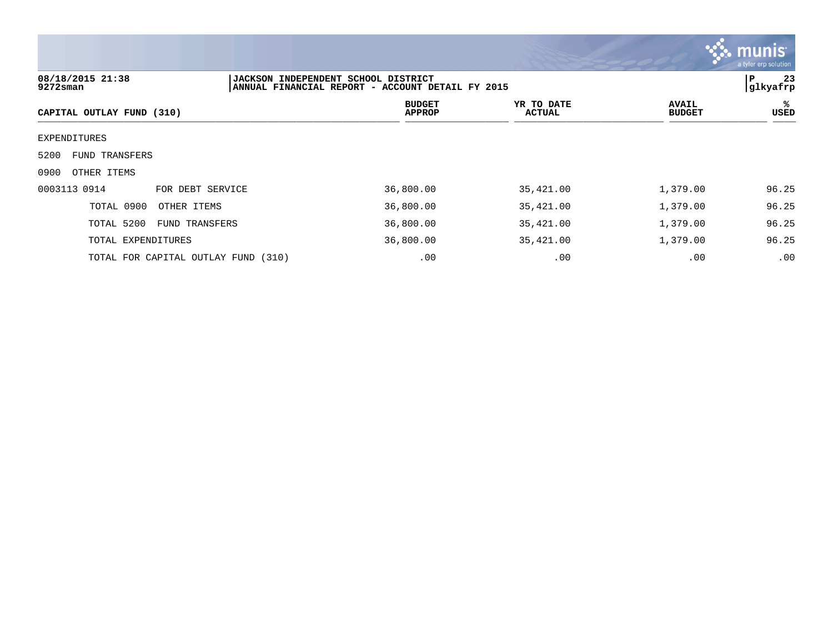

# **08/18/2015 21:38 |JACKSON INDEPENDENT SCHOOL DISTRICT |P 23** ANNUAL FINANCIAL REPORT - ACCOUNT DETAIL FY 2015 **BUDGET YR TO DATE AVAIL %**  $CAPITAL OUTLAY FUND (310)$  $\frac{MFAVIF}{MFAVIF}$  bubble (310) EXPENDITURES 5200 FUND TRANSFERS 0900 OTHER ITEMS 0003113 0914 FOR DEBT SERVICE 36,800.00 35,421.00 1,379.00 96.25 TOTAL 0900 OTHER ITEMS 36,800.00 35,421.00 1,379.00 96.25 TOTAL 5200 FUND TRANSFERS 36,800.00 35,421.00 1,379.00 96.25 TOTAL EXPENDITURES 36,800.00 35,421.00 1,379.00 96.25 TOTAL FOR CAPITAL OUTLAY FUND (310) .00 .00 .00 .00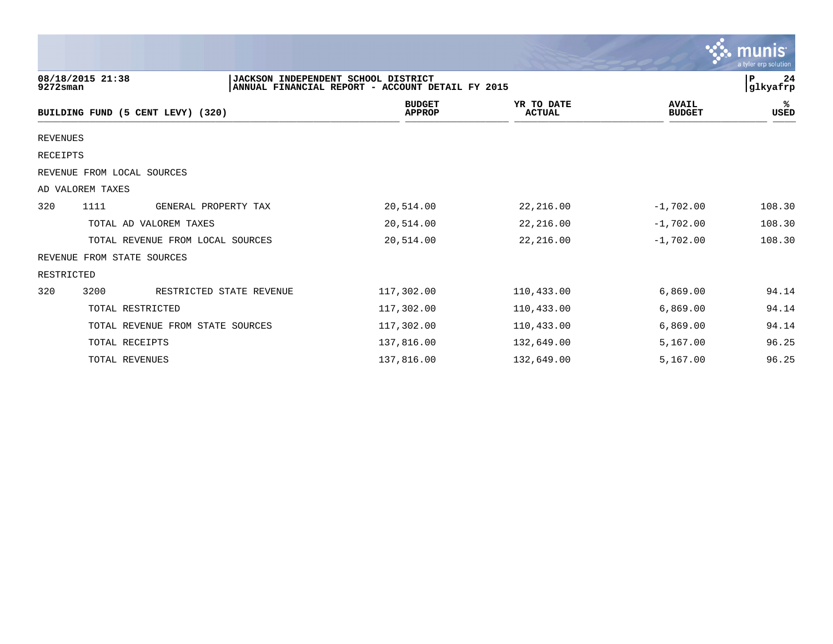|                 |                                   |                                     |                                                  |                             |                               | munis<br>a tyler erp solution |
|-----------------|-----------------------------------|-------------------------------------|--------------------------------------------------|-----------------------------|-------------------------------|-------------------------------|
| $9272$ sman     | 08/18/2015 21:38                  | JACKSON INDEPENDENT SCHOOL DISTRICT | ANNUAL FINANCIAL REPORT - ACCOUNT DETAIL FY 2015 |                             |                               | P<br>24<br>glkyafrp           |
|                 | BUILDING FUND (5 CENT LEVY) (320) |                                     | <b>BUDGET</b><br><b>APPROP</b>                   | YR TO DATE<br><b>ACTUAL</b> | <b>AVAIL</b><br><b>BUDGET</b> | ℁<br>USED                     |
| <b>REVENUES</b> |                                   |                                     |                                                  |                             |                               |                               |
| RECEIPTS        |                                   |                                     |                                                  |                             |                               |                               |
|                 | REVENUE FROM LOCAL SOURCES        |                                     |                                                  |                             |                               |                               |
|                 | AD VALOREM TAXES                  |                                     |                                                  |                             |                               |                               |
| 320             | 1111                              | GENERAL PROPERTY TAX                | 20,514.00                                        | 22,216.00                   | $-1,702.00$                   | 108.30                        |
|                 | TOTAL AD VALOREM TAXES            |                                     | 20,514.00                                        | 22,216.00                   | $-1,702.00$                   | 108.30                        |
|                 | TOTAL REVENUE FROM LOCAL SOURCES  |                                     | 20,514.00                                        | 22, 216.00                  | $-1,702.00$                   | 108.30                        |
|                 | REVENUE FROM STATE SOURCES        |                                     |                                                  |                             |                               |                               |
| RESTRICTED      |                                   |                                     |                                                  |                             |                               |                               |
| 320             | 3200                              | RESTRICTED STATE REVENUE            | 117,302.00                                       | 110,433.00                  | 6,869.00                      | 94.14                         |
|                 | TOTAL RESTRICTED                  |                                     | 117,302.00                                       | 110,433.00                  | 6,869.00                      | 94.14                         |
|                 | TOTAL REVENUE FROM STATE SOURCES  |                                     | 117,302.00                                       | 110,433.00                  | 6,869.00                      | 94.14                         |
|                 | TOTAL RECEIPTS                    |                                     | 137,816.00                                       | 132,649.00                  | 5,167.00                      | 96.25                         |
|                 | TOTAL REVENUES                    |                                     | 137,816.00                                       | 132,649.00                  | 5,167.00                      | 96.25                         |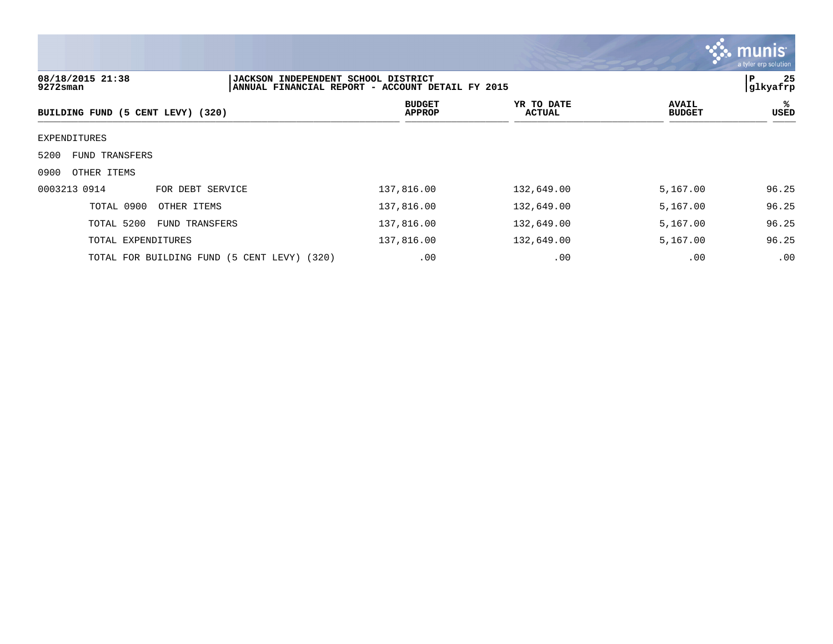

# **08/18/2015 21:38 |JACKSON INDEPENDENT SCHOOL DISTRICT |P 25 ANNUAL FINANCIAL REPORT - ACCOUNT DETAIL FY 2015 BUDGET YR TO DATE AVAIL % BUILDING FUND (5 CENT LEVY) (320)**  $\frac{MFAOI}{MFAOI}$   $\frac{MFAOI}{MFAOI}$   $\frac{MFAOI}{MFAOI}$ EXPENDITURES 5200 FUND TRANSFERS 0900 OTHER ITEMS 0003213 0914 FOR DEBT SERVICE 137,816.00 132,649.00 5,167.00 96.25 TOTAL 0900 OTHER ITEMS 137,816.00 132,649.00 5,167.00 96.25 TOTAL 5200 FUND TRANSFERS 137,816.00 132,649.00 5,167.00 96.25 TOTAL EXPENDITURES 137,816.00 132,649.00 5,167.00 96.25 TOTAL FOR BUILDING FUND (5 CENT LEVY) (320) .00 .00 .00 .00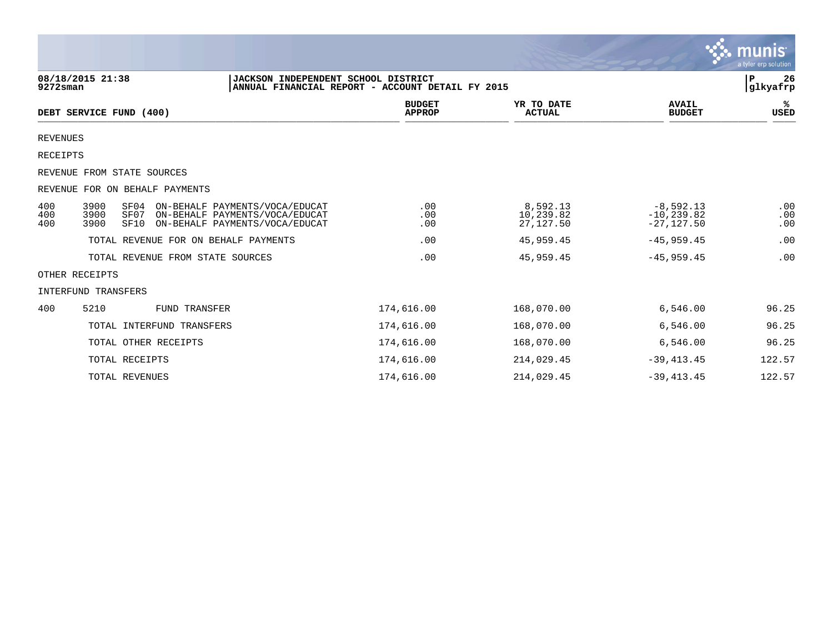|                   |                                              |                                                                                                    |                                |                                    |                                               | $\sim$ - Thumb<br>a tyler erp solution |
|-------------------|----------------------------------------------|----------------------------------------------------------------------------------------------------|--------------------------------|------------------------------------|-----------------------------------------------|----------------------------------------|
| $9272$ sman       | 08/18/2015 21:38                             | JACKSON INDEPENDENT SCHOOL DISTRICT<br>ANNUAL FINANCIAL REPORT - ACCOUNT DETAIL FY 2015            |                                |                                    |                                               | 26<br>Р<br>glkyafrp                    |
|                   | DEBT SERVICE FUND (400)                      |                                                                                                    | <b>BUDGET</b><br><b>APPROP</b> | YR TO DATE<br><b>ACTUAL</b>        | <b>AVAIL</b><br><b>BUDGET</b>                 | %ะ<br>USED                             |
| <b>REVENUES</b>   |                                              |                                                                                                    |                                |                                    |                                               |                                        |
| RECEIPTS          |                                              |                                                                                                    |                                |                                    |                                               |                                        |
|                   | REVENUE FROM STATE SOURCES                   |                                                                                                    |                                |                                    |                                               |                                        |
|                   | REVENUE FOR ON BEHALF PAYMENTS               |                                                                                                    |                                |                                    |                                               |                                        |
| 400<br>400<br>400 | 3900<br>SF04<br>3900<br>SF07<br>3900<br>SF10 | ON-BEHALF PAYMENTS/VOCA/EDUCAT<br>ON-BEHALF PAYMENTS/VOCA/EDUCAT<br>ON-BEHALF PAYMENTS/VOCA/EDUCAT | .00<br>.00<br>.00              | 8,592.13<br>10,239.82<br>27,127.50 | $-8,592.13$<br>$-10, 239.82$<br>$-27, 127.50$ | .00<br>.00<br>.00                      |
|                   | TOTAL REVENUE FOR ON BEHALF PAYMENTS         |                                                                                                    | .00                            | 45,959.45                          | $-45,959.45$                                  | .00                                    |
|                   | TOTAL REVENUE FROM STATE SOURCES             |                                                                                                    | .00                            | 45,959.45                          | $-45, 959, 45$                                | .00                                    |
|                   | OTHER RECEIPTS                               |                                                                                                    |                                |                                    |                                               |                                        |
|                   | <b>INTERFUND TRANSFERS</b>                   |                                                                                                    |                                |                                    |                                               |                                        |
| 400               | 5210<br><b>FUND TRANSFER</b>                 |                                                                                                    | 174,616.00                     | 168,070.00                         | 6,546.00                                      | 96.25                                  |
|                   | TOTAL INTERFUND TRANSFERS                    |                                                                                                    | 174,616.00                     | 168,070.00                         | 6,546.00                                      | 96.25                                  |
|                   | TOTAL OTHER RECEIPTS                         |                                                                                                    | 174,616.00                     | 168,070.00                         | 6,546.00                                      | 96.25                                  |
|                   | TOTAL RECEIPTS                               |                                                                                                    | 174,616.00                     | 214,029.45                         | $-39, 413.45$                                 | 122.57                                 |
|                   | TOTAL REVENUES                               |                                                                                                    | 174,616.00                     | 214,029.45                         | $-39, 413.45$                                 | 122.57                                 |

 $\ddot{\mathbf{r}}$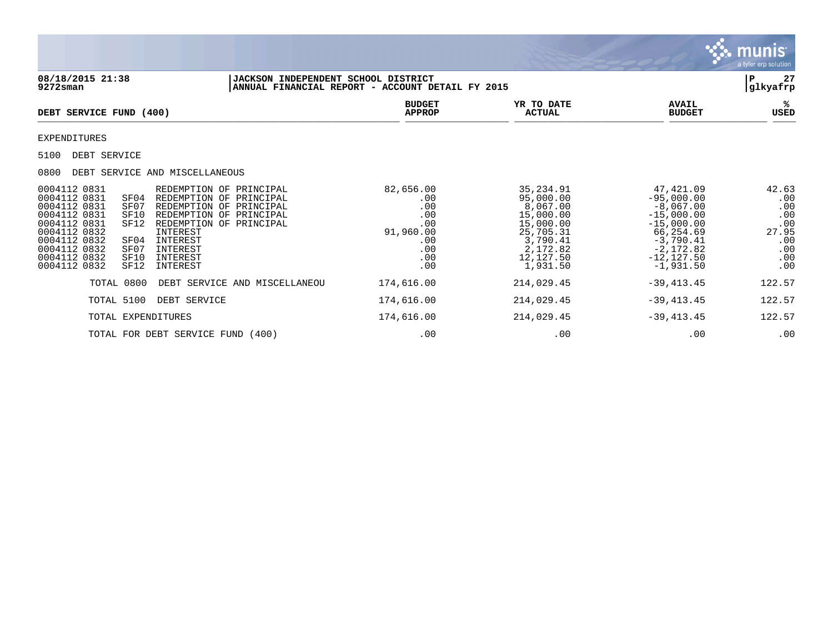|                                                                                                                                                                                                                                                                                                                                                                                                                                 |                                                                                |                                                                                                                             |                                                                                                                                                     | munis<br>a tyler erp solution                                          |
|---------------------------------------------------------------------------------------------------------------------------------------------------------------------------------------------------------------------------------------------------------------------------------------------------------------------------------------------------------------------------------------------------------------------------------|--------------------------------------------------------------------------------|-----------------------------------------------------------------------------------------------------------------------------|-----------------------------------------------------------------------------------------------------------------------------------------------------|------------------------------------------------------------------------|
| 08/18/2015 21:38<br>JACKSON INDEPENDENT SCHOOL DISTRICT<br>$9272$ sman                                                                                                                                                                                                                                                                                                                                                          | ANNUAL FINANCIAL REPORT - ACCOUNT DETAIL FY 2015                               |                                                                                                                             |                                                                                                                                                     | 27<br>P<br>glkyafrp                                                    |
| DEBT SERVICE FUND (400)                                                                                                                                                                                                                                                                                                                                                                                                         | <b>BUDGET</b><br><b>APPROP</b>                                                 | YR TO DATE<br><b>ACTUAL</b>                                                                                                 | <b>AVAIL</b><br><b>BUDGET</b>                                                                                                                       | ℁<br><b>USED</b>                                                       |
| <b>EXPENDITURES</b>                                                                                                                                                                                                                                                                                                                                                                                                             |                                                                                |                                                                                                                             |                                                                                                                                                     |                                                                        |
| 5100<br>DEBT SERVICE                                                                                                                                                                                                                                                                                                                                                                                                            |                                                                                |                                                                                                                             |                                                                                                                                                     |                                                                        |
| DEBT SERVICE AND MISCELLANEOUS<br>0800                                                                                                                                                                                                                                                                                                                                                                                          |                                                                                |                                                                                                                             |                                                                                                                                                     |                                                                        |
| 0004112 0831<br>REDEMPTION OF PRINCIPAL<br>0004112 0831<br>SF04<br>REDEMPTION OF PRINCIPAL<br>0004112 0831<br>SF07<br>REDEMPTION OF PRINCIPAL<br>0004112 0831<br>SF10<br>REDEMPTION OF PRINCIPAL<br>0004112 0831<br>SF12<br>REDEMPTION OF PRINCIPAL<br>0004112 0832<br>INTEREST<br>0004112 0832<br>INTEREST<br>SF04<br>0004112 0832<br>INTEREST<br>SF07<br>0004112 0832<br>INTEREST<br>SF10<br>0004112 0832<br>SF12<br>INTEREST | 82,656.00<br>.00<br>.00<br>.00<br>.00<br>91,960.00<br>.00<br>.00<br>.00<br>.00 | 35, 234.91<br>95,000.00<br>8,067.00<br>15,000.00<br>15,000.00<br>25,705.31<br>3,790.41<br>2,172.82<br>12,127.50<br>1,931.50 | 47,421.09<br>$-95,000.00$<br>$-8,067.00$<br>$-15,000.00$<br>$-15,000.00$<br>66,254.69<br>$-3,790.41$<br>$-2,172.82$<br>$-12, 127.50$<br>$-1,931.50$ | 42.63<br>.00<br>.00<br>.00<br>.00<br>27.95<br>.00<br>.00<br>.00<br>.00 |
| TOTAL 0800<br>DEBT SERVICE AND MISCELLANEOU                                                                                                                                                                                                                                                                                                                                                                                     | 174,616.00                                                                     | 214,029.45                                                                                                                  | $-39, 413.45$                                                                                                                                       | 122.57                                                                 |
| TOTAL 5100<br>DEBT SERVICE                                                                                                                                                                                                                                                                                                                                                                                                      | 174,616.00                                                                     | 214,029.45                                                                                                                  | $-39, 413.45$                                                                                                                                       | 122.57                                                                 |
| TOTAL EXPENDITURES                                                                                                                                                                                                                                                                                                                                                                                                              | 174,616.00                                                                     | 214,029.45                                                                                                                  | $-39, 413.45$                                                                                                                                       | 122.57                                                                 |
| TOTAL FOR DEBT SERVICE FUND (400)                                                                                                                                                                                                                                                                                                                                                                                               | .00                                                                            | .00                                                                                                                         | .00                                                                                                                                                 | .00                                                                    |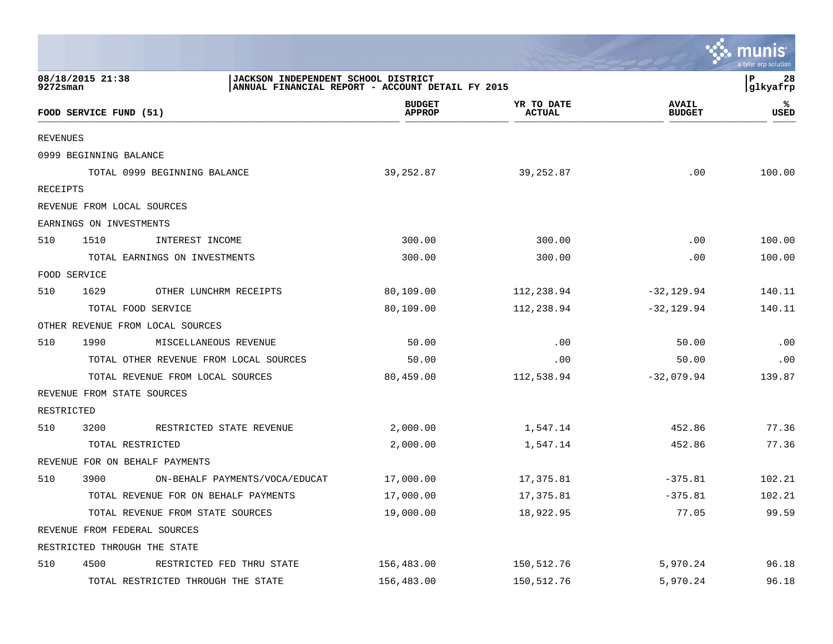|                                                                                                                              |                                        |                                |                             |                               | a tyler erp solution   |
|------------------------------------------------------------------------------------------------------------------------------|----------------------------------------|--------------------------------|-----------------------------|-------------------------------|------------------------|
| 08/18/2015 21:38<br>JACKSON INDEPENDENT SCHOOL DISTRICT<br>P<br>9272sman<br>ANNUAL FINANCIAL REPORT - ACCOUNT DETAIL FY 2015 |                                        |                                |                             |                               |                        |
|                                                                                                                              | FOOD SERVICE FUND (51)                 | <b>BUDGET</b><br><b>APPROP</b> | YR TO DATE<br><b>ACTUAL</b> | <b>AVAIL</b><br><b>BUDGET</b> | glkyafrp <br>℁<br>USED |
| <b>REVENUES</b>                                                                                                              |                                        |                                |                             |                               |                        |
|                                                                                                                              | 0999 BEGINNING BALANCE                 |                                |                             |                               |                        |
|                                                                                                                              | TOTAL 0999 BEGINNING BALANCE           | 39,252.87                      | 39,252.87                   | .00                           | 100.00                 |
| RECEIPTS                                                                                                                     |                                        |                                |                             |                               |                        |
|                                                                                                                              | REVENUE FROM LOCAL SOURCES             |                                |                             |                               |                        |
|                                                                                                                              | EARNINGS ON INVESTMENTS                |                                |                             |                               |                        |
| 510                                                                                                                          | 1510<br>INTEREST INCOME                | 300.00                         | 300.00                      | .00                           | 100.00                 |
|                                                                                                                              | TOTAL EARNINGS ON INVESTMENTS          | 300.00                         | 300.00                      | .00                           | 100.00                 |
|                                                                                                                              | FOOD SERVICE                           |                                |                             |                               |                        |
| 510                                                                                                                          | 1629<br>OTHER LUNCHRM RECEIPTS         | 80,109.00                      | 112,238.94                  | $-32, 129.94$                 | 140.11                 |
|                                                                                                                              | TOTAL FOOD SERVICE                     | 80,109.00                      | 112,238.94                  | $-32,129.94$                  | 140.11                 |
|                                                                                                                              | OTHER REVENUE FROM LOCAL SOURCES       |                                |                             |                               |                        |
| 510                                                                                                                          | 1990<br>MISCELLANEOUS REVENUE          | 50.00                          | .00                         | 50.00                         | .00                    |
|                                                                                                                              | TOTAL OTHER REVENUE FROM LOCAL SOURCES | 50.00                          | .00                         | 50.00                         | .00                    |
|                                                                                                                              | TOTAL REVENUE FROM LOCAL SOURCES       | 80,459.00                      | 112,538.94                  | $-32,079.94$                  | 139.87                 |
|                                                                                                                              | REVENUE FROM STATE SOURCES             |                                |                             |                               |                        |
| RESTRICTED                                                                                                                   |                                        |                                |                             |                               |                        |
| 510                                                                                                                          | 3200<br>RESTRICTED STATE REVENUE       | 2,000.00                       | 1,547.14                    | 452.86                        | 77.36                  |
|                                                                                                                              | TOTAL RESTRICTED                       | 2,000.00                       | 1,547.14                    | 452.86                        | 77.36                  |
|                                                                                                                              | REVENUE FOR ON BEHALF PAYMENTS         |                                |                             |                               |                        |
| 510                                                                                                                          | 3900<br>ON-BEHALF PAYMENTS/VOCA/EDUCAT | 17,000.00                      | 17,375.81                   | $-375.81$                     | 102.21                 |
|                                                                                                                              | TOTAL REVENUE FOR ON BEHALF PAYMENTS   | 17,000.00                      | 17,375.81                   | $-375.81$                     | 102.21                 |
|                                                                                                                              | TOTAL REVENUE FROM STATE SOURCES       | 19,000.00                      | 18,922.95                   | 77.05                         | 99.59                  |
|                                                                                                                              | REVENUE FROM FEDERAL SOURCES           |                                |                             |                               |                        |
|                                                                                                                              | RESTRICTED THROUGH THE STATE           |                                |                             |                               |                        |
| 510                                                                                                                          | 4500<br>RESTRICTED FED THRU STATE      | 156,483.00                     | 150,512.76                  | 5,970.24                      | 96.18                  |
|                                                                                                                              | TOTAL RESTRICTED THROUGH THE STATE     | 156,483.00                     | 150,512.76                  | 5,970.24                      | 96.18                  |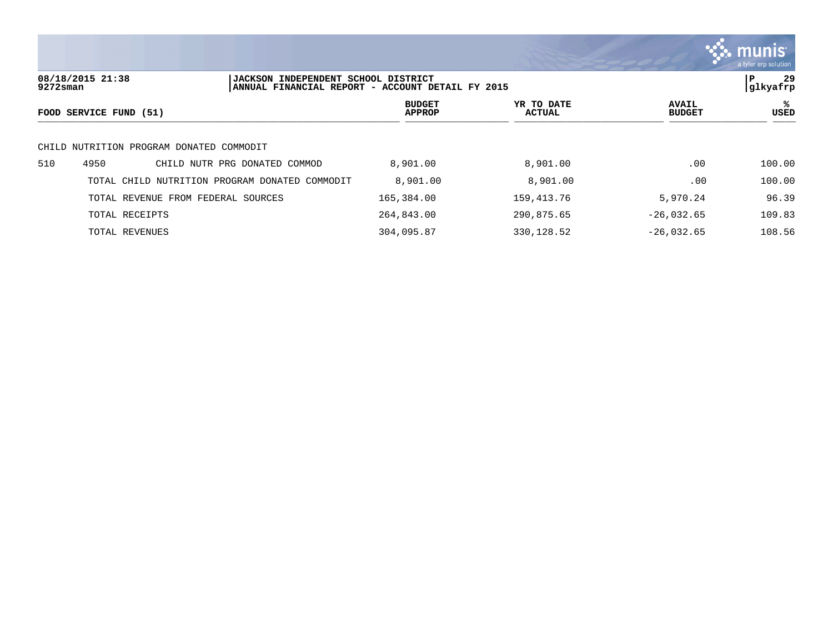

**08/18/2015 21:38 |JACKSON INDEPENDENT SCHOOL DISTRICT |P 29 ANNUAL FINANCIAL REPORT - ACCOUNT DETAIL FY 2015 BUDGET YR TO DATE AVAIL %**  $FOOD$  **SERVICE FUND** (51)  $\frac{A \text{H} \text{R}}{A \text{H} \text{H} \text{R}}$ CHILD NUTRITION PROGRAM DONATED COMMODIT 510 4950 CHILD NUTR PRG DONATED COMMOD 8,901.00 8,901.00 .00 100.00 TOTAL CHILD NUTRITION PROGRAM DONATED COMMODIT 8,901.00 8,901.00 8,901.00 .00 100.00 TOTAL REVENUE FROM FEDERAL SOURCES 165,384.00 159,413.76 5,970.24 96.39 TOTAL RECEIPTS 264,843.00 290,875.65 -26,032.65 109.83 TOTAL REVENUES 304,095.87 330,128.52 -26,032.65 108.56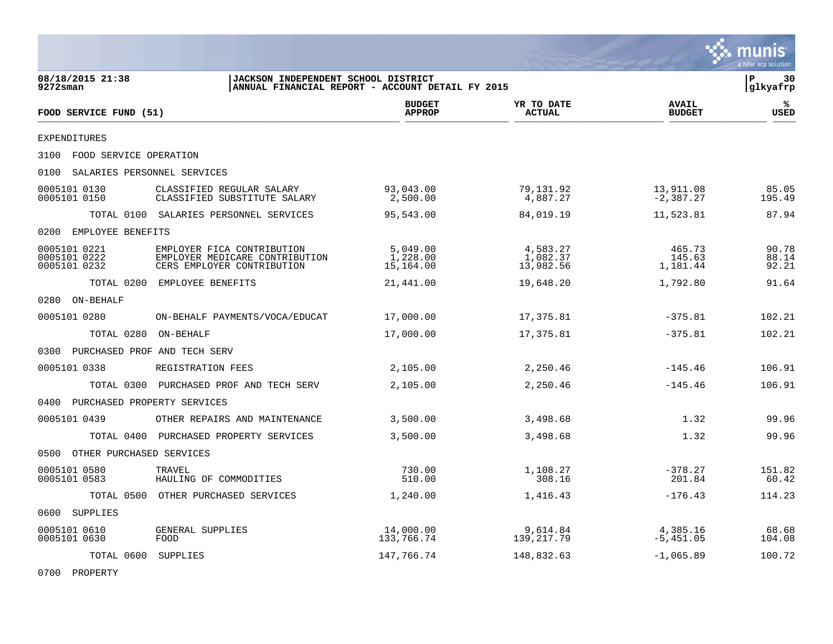|                                                                                                                            |                                                                                            |                                   |                                   |                               | munis<br>a tyler erp solution |
|----------------------------------------------------------------------------------------------------------------------------|--------------------------------------------------------------------------------------------|-----------------------------------|-----------------------------------|-------------------------------|-------------------------------|
| 08/18/2015 21:38<br>JACKSON INDEPENDENT SCHOOL DISTRICT<br>$9272$ sman<br>ANNUAL FINANCIAL REPORT - ACCOUNT DETAIL FY 2015 |                                                                                            |                                   |                                   |                               | l P<br>30<br> glkyafrp        |
| FOOD SERVICE FUND (51)                                                                                                     |                                                                                            | <b>BUDGET</b><br><b>APPROP</b>    | YR TO DATE<br><b>ACTUAL</b>       | <b>AVAIL</b><br><b>BUDGET</b> | ℁<br>USED                     |
| EXPENDITURES                                                                                                               |                                                                                            |                                   |                                   |                               |                               |
| 3100 FOOD SERVICE OPERATION                                                                                                |                                                                                            |                                   |                                   |                               |                               |
| 0100<br>SALARIES PERSONNEL SERVICES                                                                                        |                                                                                            |                                   |                                   |                               |                               |
| 0005101 0130<br>0005101 0150                                                                                               | CLASSIFIED REGULAR SALARY<br>CLASSIFIED SUBSTITUTE SALARY                                  | 93,043.00<br>2,500.00             | 79,131.92<br>4,887.27             | 13,911.08<br>$-2,387.27$      | 85.05<br>195.49               |
|                                                                                                                            | TOTAL 0100 SALARIES PERSONNEL SERVICES                                                     | 95,543.00                         | 84,019.19                         | 11,523.81                     | 87.94                         |
| EMPLOYEE BENEFITS<br>0200                                                                                                  |                                                                                            |                                   |                                   |                               |                               |
| 0005101 0221<br>0005101 0222<br>0005101 0232                                                                               | EMPLOYER FICA CONTRIBUTION<br>EMPLOYER MEDICARE CONTRIBUTION<br>CERS EMPLOYER CONTRIBUTION | 5,049.00<br>1,228.00<br>15,164.00 | 4,583.27<br>1,082.37<br>13,982.56 | 465.73<br>145.63<br>1,181.44  | 90.78<br>88.14<br>92.21       |
| TOTAL 0200                                                                                                                 | EMPLOYEE BENEFITS                                                                          | 21,441.00                         | 19,648.20                         | 1,792.80                      | 91.64                         |
| 0280 ON-BEHALF                                                                                                             |                                                                                            |                                   |                                   |                               |                               |
| 0005101 0280                                                                                                               | ON-BEHALF PAYMENTS/VOCA/EDUCAT                                                             | 17,000.00                         | 17,375.81                         | $-375.81$                     | 102.21                        |
| TOTAL 0280                                                                                                                 | ON-BEHALF                                                                                  | 17,000.00                         | 17,375.81                         | $-375.81$                     | 102.21                        |
| 0300 PURCHASED PROF AND TECH SERV                                                                                          |                                                                                            |                                   |                                   |                               |                               |
| 0005101 0338                                                                                                               | REGISTRATION FEES                                                                          | 2,105.00                          | 2,250.46                          | $-145.46$                     | 106.91                        |
|                                                                                                                            | TOTAL 0300 PURCHASED PROF AND TECH SERV                                                    | 2,105.00                          | 2,250.46                          | $-145.46$                     | 106.91                        |
| 0400 PURCHASED PROPERTY SERVICES                                                                                           |                                                                                            |                                   |                                   |                               |                               |
| 0005101 0439                                                                                                               | OTHER REPAIRS AND MAINTENANCE                                                              | 3,500.00                          | 3,498.68                          | 1.32                          | 99.96                         |
|                                                                                                                            | TOTAL 0400 PURCHASED PROPERTY SERVICES                                                     | 3,500.00                          | 3,498.68                          | 1.32                          | 99.96                         |
| OTHER PURCHASED SERVICES<br>0500                                                                                           |                                                                                            |                                   |                                   |                               |                               |
| 0005101 0580<br>0005101 0583                                                                                               | TRAVEL<br>HAULING OF COMMODITIES                                                           | 730.00<br>510.00                  | 1,108.27<br>308.16                | $-378.27$<br>201.84           | 151.82<br>60.42               |
|                                                                                                                            | TOTAL 0500 OTHER PURCHASED SERVICES                                                        | 1,240.00                          | 1,416.43                          | $-176.43$                     | 114.23                        |
| 0600 SUPPLIES                                                                                                              |                                                                                            |                                   |                                   |                               |                               |
| 0005101 0610<br>0005101 0630                                                                                               | GENERAL SUPPLIES<br>FOOD                                                                   | 14,000.00<br>133,766.74           | 9,614.84<br>139, 217.79           | 4,385.16<br>$-5,451.05$       | 68.68<br>104.08               |
| TOTAL 0600 SUPPLIES                                                                                                        |                                                                                            | 147,766.74                        | 148,832.63                        | $-1,065.89$                   | 100.72                        |

0700 PROPERTY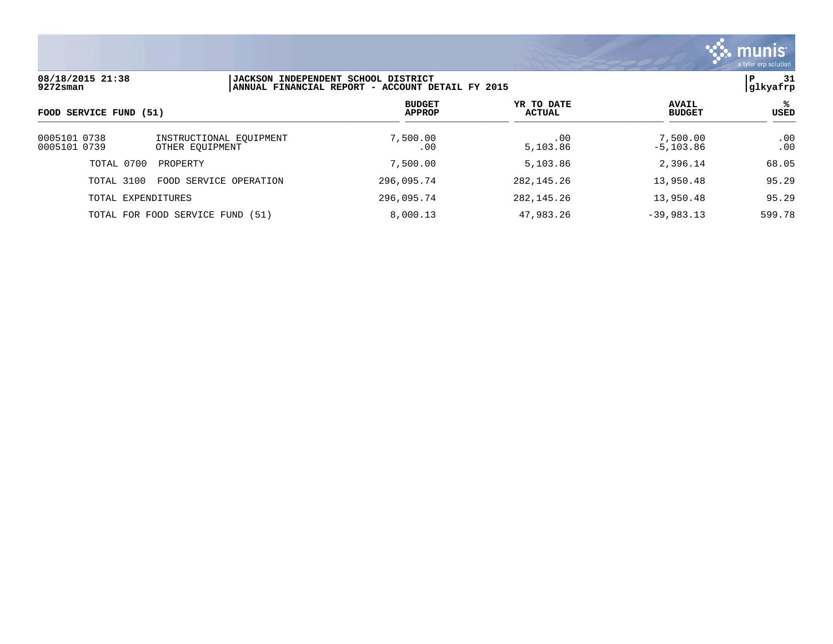

| 08/18/2015 21:38<br>$9272$ sman  |                                            | <b>JACKSON INDEPENDENT SCHOOL DISTRICT</b><br>ANNUAL FINANCIAL REPORT - ACCOUNT DETAIL FY 2015 |                             |                               | -31<br>P<br> glkyafrp |  |
|----------------------------------|--------------------------------------------|------------------------------------------------------------------------------------------------|-----------------------------|-------------------------------|-----------------------|--|
| FOOD SERVICE FUND (51)           |                                            | <b>BUDGET</b><br><b>APPROP</b>                                                                 | YR TO DATE<br><b>ACTUAL</b> | <b>AVAIL</b><br><b>BUDGET</b> | ℁<br>USED             |  |
| 0005101 0738<br>0005101 0739     | INSTRUCTIONAL EOUIPMENT<br>OTHER EOUIPMENT | 7,500.00<br>.00                                                                                | .00<br>5,103.86             | 7,500.00<br>$-5,103.86$       | .00<br>.00            |  |
| TOTAL 0700<br>PROPERTY           |                                            | 7,500.00                                                                                       | 5,103.86                    | 2,396.14                      | 68.05                 |  |
| TOTAL 3100                       | FOOD SERVICE OPERATION                     | 296,095.74                                                                                     | 282, 145, 26                | 13,950.48                     | 95.29                 |  |
| TOTAL EXPENDITURES               |                                            | 296,095.74                                                                                     | 282, 145, 26                | 13,950.48                     | 95.29                 |  |
| TOTAL FOR FOOD SERVICE FUND (51) |                                            | 8,000.13                                                                                       | 47,983.26                   | $-39,983,13$                  | 599.78                |  |